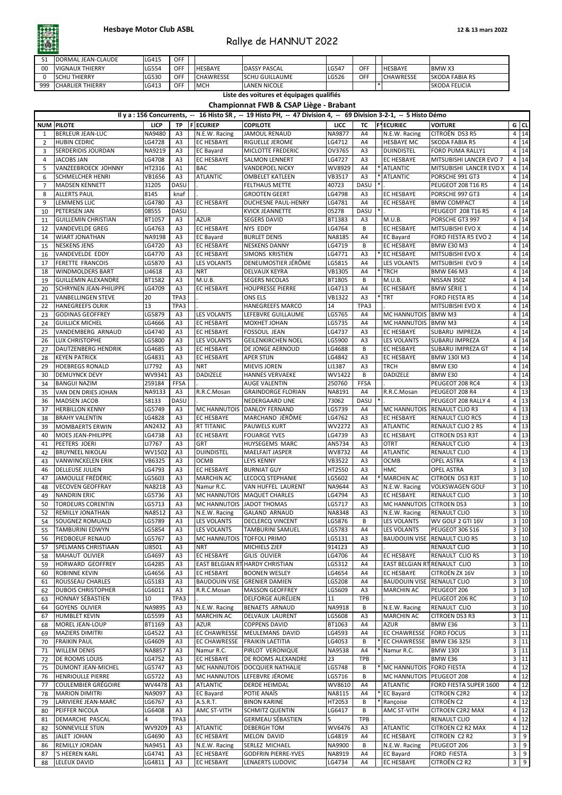| ັ   | IDORMAL JEAN-CLAUDE     | LG415 | OFF       |                  |                        |       |            |                  |                       |
|-----|-------------------------|-------|-----------|------------------|------------------------|-------|------------|------------------|-----------------------|
| -00 | <b>IVIGNAUX THIERRY</b> | G554- | CEC       | <b>IHESBAYE</b>  | <b>IDASSY PASCAL</b>   | LG547 | OFF        | <b>IHESBAYE</b>  | <b>BMWX3</b>          |
|     | <b>THIERRY</b><br>ISCHU | LG530 | $\cap$ EE | <b>CHAWRESSE</b> | <b>ISCHU GUILLAUME</b> | LG526 | <b>OFF</b> | <b>CHAWRESSE</b> | <b>SKODA FABIA RS</b> |
| 999 | <b>CHARLIER THIERRY</b> | LG413 | OEE       | <b>MCH</b>       | <b>LANEN NICOLE</b>    |       |            |                  | <b>SKODA FELICIA</b>  |

|          |                                                   |                         |                                  |                                         | Il y a : 156 Concurrents, -- 16 Histo SR, -- 19 Histo PH, -- 47 Division 4, -- 69 Division 3-2-1, -- 5 Histo Démo |                         |                      |                                                         |                                                  |                |                |
|----------|---------------------------------------------------|-------------------------|----------------------------------|-----------------------------------------|-------------------------------------------------------------------------------------------------------------------|-------------------------|----------------------|---------------------------------------------------------|--------------------------------------------------|----------------|----------------|
|          | NUM PILOTE                                        | <b>LICP</b>             |                                  | TP   F ECURIEP                          | <b>COPILOTE</b>                                                                                                   | <b>LICC</b>             |                      | TC F <sup>*</sup> ECURIEC                               | <b>VOITURE</b>                                   |                | $G$ CL         |
|          | <b>BERLEUR JEAN-LUC</b>                           | NA9480                  | A3                               | N.E.W. Racing                           | JAMOUL RENAUD                                                                                                     | <b>NA9877</b>           | A4                   | N.E.W. Racing                                           | CITROËN DS3 R5                                   |                | 4 14           |
| 2<br>3   | <b>HUBIN CEDRIC</b><br><b>SERDERIDIS JOURDAN</b>  | LG4728<br>NA9219        | A3<br>A <sub>3</sub>             | <b>EC HESBAYE</b><br><b>EC Bayard</b>   | <b>RIGUELLE JEROME</b><br><b>MICLOTTE FREDERIC</b>                                                                | LG4712<br>OV3765        | A4<br>A3             | <b>HESBAYE MC</b><br>DUINDISTEL                         | <b>SKODA FABIA R5</b><br>FORD PUMA RALLY1        |                | 4 14<br>4 14   |
| 4        | <b>JACOBS JAN</b>                                 | LG4708                  | A <sub>3</sub>                   | <b>EC HESBAYE</b>                       | <b>SALMON LENNERT</b>                                                                                             | LG4727                  | A3                   | <b>EC HESBAYE</b>                                       | <b>MITSUBISHI LANCER EVO 7</b>                   |                | 4 14           |
| 5        | <b>VANZEEBROECK JOHNNY</b>                        | HT2316                  | A1                               | <b>BAC</b>                              | <b>VANDEPOEL NICKY</b>                                                                                            | WV8929                  | A4                   | * ATLANTIC                                              | MITSUBISHI LANCER EVO X                          |                | 4 14           |
|          | <b>SCHMELCHER HENRI</b>                           | VB1656                  | A <sub>3</sub>                   | <b>ATLANTIC</b>                         | <b>OMBELET KATLEEN</b>                                                                                            | <b>VB3517</b>           | A3                   | * ATLANTIC                                              | PORSCHE 991 GT3                                  |                | 4 14           |
|          | <b>MADSEN KENNETT</b>                             | 31205                   | <b>DASU</b>                      |                                         | FELTHAUS METTE                                                                                                    | 40723                   | <b>DASU</b>          |                                                         | <b>PEUGEOT 208 T16 R5</b>                        |                | 4 14           |
| 8        | <b>ALLERTS PAUL</b>                               | 8145                    | knaf                             |                                         | <b>GROOTEN GEERT</b>                                                                                              | LG4798                  | A3                   | <b>EC HESBAYE</b>                                       | PORSCHE 997 GT3                                  |                | 4 14           |
| q        | <b>LEMMENS LUC</b>                                | LG4780                  | A <sub>3</sub>                   | <b>EC HESBAYE</b>                       | DUCHESNE PAUL-HENRY                                                                                               | LG4781                  | A4                   | <b>EC HESBAYE</b>                                       | <b>BMW COMPACT</b>                               |                | 4 14           |
| 10       | <b>PETERSEN JAN</b>                               | 08555                   | <b>DASU</b>                      |                                         | <b>KVICK JEANNETTE</b>                                                                                            | 05278                   | <b>DASU</b>          |                                                         | PEUGEOT 208 T16 R5                               |                | 4 14           |
| 11       | GUILLEMIN CHRISTIAN                               | BT1057                  | A3                               | <b>AZUR</b>                             | <b>SEGERS DAVID</b>                                                                                               | <b>BT1383</b>           | A3                   | M.U.B.                                                  | PORSCHE GT3 997                                  |                | 4 14           |
| 12<br>14 | <b>VANDEVELDE GREG</b><br><b>WIART JONATHAN</b>   | LG4763<br>NA9198        | A <sub>3</sub><br>A <sub>3</sub> | <b>EC HESBAYE</b><br><b>EC Bayard</b>   | <b>NYS EDDY</b><br><b>BURLET DENIS</b>                                                                            | LG4764<br>NA8185        | B<br>A4              | <b>EC HESBAYE</b><br><b>EC Bayard</b>                   | <b>MITSUBISHI EVO X</b><br>FORD FIESTA R5 EVO 2  | 4              | 14<br>4 14     |
| 15       | <b>NESKENS JENS</b>                               | LG4720                  | A <sub>3</sub>                   | <b>EC HESBAYE</b>                       | <b>NESKENS DANNY</b>                                                                                              | LG4719                  | B                    | <b>EC HESBAYE</b>                                       | BMW E30 M3                                       |                | 4 14           |
| 16       | <b>VANDEVELDE EDDY</b>                            | LG4770                  | A <sub>3</sub>                   | <b>EC HESBAYE</b>                       | <b>SIMONS KRISTIEN</b>                                                                                            | LG4771                  | A <sub>3</sub>       | * EC HESBAYE                                            | <b>MITSUBISHI EVO X</b>                          |                | 4 14           |
| 17       | <b>FERETTE FRANCOIS</b>                           | LG5870                  | A <sub>3</sub>                   | <b>LES VOLANTS</b>                      | DENEUMOSTIER JÉRÔME                                                                                               | LG5815                  | A4                   | <b>LES VOLANTS</b>                                      | MITSUBISHI EVO 9                                 |                | 4 14           |
| 18       | <b>WINDMOLDERS BART</b>                           | LI4618                  | A <sub>3</sub>                   | <b>NRT</b>                              | <b>DELVAUX KEYRA</b>                                                                                              | <b>VB1305</b>           | A4                   | * TRCH                                                  | <b>BMW E46 M3</b>                                | 4              | 14             |
| 19       | <b>GUILLEMIN ALEXANDRE</b>                        | <b>BT1582</b>           | A3                               | M.U.B.                                  | <b>SEGERS NICOLAS</b>                                                                                             | <b>BT1805</b>           | B                    | M.U.B.                                                  | NISSAN 350Z                                      |                | 4 14           |
| 20       | <b>SCHRYNEN JEAN-PHILIPPE</b>                     | LG4709                  | A <sub>3</sub>                   | <b>EC HESBAYE</b>                       | <b>HOUPRESSE PIERRE</b>                                                                                           | LG4713                  | A4                   | <b>EC HESBAYE</b>                                       | <b>BMW SÉRIE 1</b>                               |                | 4 14           |
| 21       | <b>VANBELLINGEN STEVE</b>                         | 20                      | TPA3                             |                                         | <b>ONS ELS</b>                                                                                                    | <b>VB1322</b>           | A3                   | $*$ TRT                                                 | <b>FORD FIESTA R5</b>                            |                | 4 14           |
| 22       | <b>HANEGREEFS OLRIK</b>                           | 13                      | TPA3                             |                                         | <b>HANEGREEFS MARCO</b>                                                                                           | 14                      | TPA3                 |                                                         | <b>MITSUBISHI EVO X</b>                          |                | 4 14           |
| 23<br>24 | <b>GODINAS GEOFFREY</b><br><b>GUILLICK MICHEL</b> | LG5879<br>LG4666        | A3<br>A <sub>3</sub>             | <b>LES VOLANTS</b><br><b>EC HESBAYE</b> | LEFEBVRE GUILLAUME<br>MOXHET JOHAN                                                                                | LG5765<br>LG5735        | A4<br>A4             | <b>MC HANNUTOIS</b><br>MC HANNUTOIS BMW M3              | <b>BMWM3</b>                                     |                | 4 14<br>4 14   |
| 25       | VANDEMBERG ARNAUD                                 | LG4740                  | A3                               | <b>EC HESBAYE</b>                       | <b>FOSSOUL JEAN</b>                                                                                               | LG4737                  | A3                   | <b>EC HESBAYE</b>                                       | SUBARU IMPREZA                                   | 4              | 14             |
| 26       | <b>LUX CHRISTOPHE</b>                             | LG5800                  | A <sub>3</sub>                   | <b>LES VOLANTS</b>                      | <b>GEILENKIRCHEN NOEL</b>                                                                                         | LG5900                  | A3                   | <b>LES VOLANTS</b>                                      | <b>SUBARU IMPREZA</b>                            |                | 4 14           |
| 27       | <b>DAUTZENBERG HENDRIK</b>                        | LG4685                  | A <sub>3</sub>                   | <b>EC HESBAYE</b>                       | <b>DE JONGE AERNOUD</b>                                                                                           | LG4688                  | B                    | <b>EC HESBAYE</b>                                       | <b>SUBARU IMPREZA GT</b>                         |                | 4 14           |
| -28      | <b>KEYEN PATRICK</b>                              | LG4831                  | A <sub>3</sub>                   | <b>EC HESBAYE</b>                       | <b>APER STIJN</b>                                                                                                 | LG4842                  | A3                   | <b>EC HESBAYE</b>                                       | <b>BMW 130I M3</b>                               |                | 4 14           |
| 29       | <b>HOEBREGS RONALD</b>                            | LI7792                  | A <sub>3</sub>                   | <b>NRT</b>                              | <b>MIEVIS JOREN</b>                                                                                               | LI1387                  | A3                   | <b>TRCH</b>                                             | BMW E30                                          |                | 4 14           |
| 30       | <b>DEMUYNCK DEVY</b>                              | WV9341                  | A <sub>3</sub>                   | <b>DADIZELE</b>                         | <b>HANNES VERVAEKE</b>                                                                                            | WV1422                  | B                    | <b>DADIZELE</b>                                         | BMW E30                                          |                | 4 14           |
| 34       | <b>BANGUI NAZIM</b>                               | 259184                  | <b>FFSA</b>                      |                                         | <b>AUGE VALENTIN</b>                                                                                              | 250760                  | FFSA                 |                                                         | PEUGEOT 208 RC4                                  |                | 4 13           |
| 35       | VAN DEN DRIES JOHAN<br><b>MADSEN JACOB</b>        | NA9133<br>58133         | A <sub>3</sub><br><b>DASU</b>    | R.R.C.Mosan                             | <b>GRAINDORGE FLORIAN</b><br><b>NEDERGAARD LINE</b>                                                               | NA8191<br>73062         | A4<br><b>DASU</b>    | R.R.C.Mosan                                             | PEUGEOT 208 R4<br>PEUGEOT 208 RALLY 4            |                | 4 13<br>4 13   |
| 36<br>37 | <b>HERBILLON KENNY</b>                            | LG5749                  | A <sub>3</sub>                   |                                         | MC HANNUTOIS DANLOY FERNAND                                                                                       | LG5739                  | A4                   | <b>MC HANNUTOIS</b>                                     | <b>RENAULT CLIO R3</b>                           |                | 4 13           |
| 38       | <b>BRAHY VALENTIN</b>                             | LG4828                  | A <sub>3</sub>                   | <b>EC HESBAYE</b>                       | MARCHAND JÉRÔME                                                                                                   | LG4762                  | A <sub>3</sub>       | <b>EC HESBAYE</b>                                       | <b>RENAULT CLIO RC5</b>                          | 4              | 13             |
| 39       | MOMBAERTS ERWIN                                   | AN2432                  | A3                               | <b>RT TITANIC</b>                       | <b>PAUWELS KURT</b>                                                                                               | <b>WV2272</b>           | A3                   | <b>ATLANTIC</b>                                         | <b>RENAULT CLIO 2 RS</b>                         |                | 4 13           |
| 40       | <b>MOES JEAN-PHILIPPE</b>                         | LG4738                  | A <sub>3</sub>                   | <b>EC HESBAYE</b>                       | <b>FOUARGE YVES</b>                                                                                               | LG4739                  | A <sub>3</sub>       | <b>EC HESBAYE</b>                                       | <b>CITROEN DS3 R3T</b>                           | 4              | 13             |
| 41       | PEETERS JOERI                                     | LI7767                  | A3                               | <b>GRT</b>                              | HUYSEGEMS MARC                                                                                                    | AN5734                  | A <sub>3</sub>       | <b>OTRT</b>                                             | <b>RENAULT CLIO</b>                              |                | 4 13           |
| 42       | <b>BRUYNEEL NIKOLAI</b>                           | WV1502                  | A <sub>3</sub>                   | <b>DUINDISTEL</b>                       | <b>MAELFAIT JASPER</b>                                                                                            | WV8732                  | A4                   | <b>ATLANTIC</b>                                         | <b>RENAULT CLIO</b>                              | 4              | 13             |
| 43       | <b>VANWINCKELEN ERIK</b>                          | VB6325                  | A3                               | <b>OCMB</b>                             | <b>LEYS KENNY</b>                                                                                                 | <b>VB3522</b>           | A <sub>3</sub>       | <b>OCMB</b>                                             | <b>OPEL ASTRA</b>                                | 4              | 13             |
| 46       | <b>DELLEUSE JULIEN</b><br>JAMOULLE FRÉDÉRIC       | LG4793<br>LG5603        | A <sub>3</sub>                   | <b>EC HESBAYE</b>                       | <b>BURNIAT GUY</b>                                                                                                | <b>HT2550</b>           | A3                   | <b>HMC</b><br>* MARCHIN AC                              | <b>OPEL ASTRA</b>                                |                | 3 10<br>10     |
| 47<br>48 | <b>VECOVEN GEOFFRAY</b>                           | NA8218                  | A <sub>3</sub><br>A <sub>3</sub> | <b>MARCHIN AC</b><br>Namur R.C.         | <b>LECOCQ STEPHANIE</b><br><b>VAN HUFFEL LAURENT</b>                                                              | LG5602<br>NA9644        | A4<br>A <sub>3</sub> | N.E.W. Racing                                           | <b>CITROEN DS3 R3T</b><br><b>VOLKSWAGEN GOLF</b> | $\mathbf{3}$   | 3 10           |
| 49       | <b>NANDRIN ERIC</b>                               | LG5736                  | A3                               |                                         | <b>MC HANNUTOIS MAQUET CHARLES</b>                                                                                | LG4794                  | A <sub>3</sub>       | <b>EC HESBAYE</b>                                       | <b>RENAULT CLIO</b>                              | 3              | 10             |
| 50       | <b>TORDEURS CORENTIN</b>                          | LG5713                  | A <sub>3</sub>                   | MC HANNUTOIS JADOT THOMAS               |                                                                                                                   | LG5717                  | A <sub>3</sub>       | <b>MC HANNUTOIS</b>                                     | <b>CITROEN DS3</b>                               |                | 3 10           |
| 52       | <b>REMILLY JONATHAN</b>                           | NA8512                  | A <sub>3</sub>                   | N.E.W. Racing                           | <b>GALAND ARNAUD</b>                                                                                              | <b>NA8348</b>           | A3                   | N.E.W. Racing                                           | <b>RENAULT CLIO</b>                              |                | 3 10           |
| 54       | <b>SOUGNEZ ROMUALD</b>                            | LG5789                  | A <sub>3</sub>                   | LES VOLANTS                             | <b>DECLERCQ VINCENT</b>                                                                                           | LG5876                  | B                    | <b>LES VOLANTS</b>                                      | WV GOLF 2 GTI 16V                                | $\mathbf{3}$   | 10             |
| 55       | TAMBURINI EDWYN                                   | LG5854                  | A <sub>3</sub>                   | <b>LES VOLANTS</b>                      | <b>TAMBURINI SAMUEL</b>                                                                                           | LG5783                  | A4                   | <b>LES VOLANTS</b>                                      | PEUGEOT 306 S16                                  |                | 3 10           |
| 56       | <b>PIEDBOEUF RENAUD</b>                           | LG5767                  | A <sub>3</sub>                   | <b>MC HANNUTOIS</b>                     | <b>TOFFOLI PRIMO</b>                                                                                              | LG5131                  | A3                   | <b>BAUDOUIN VISE</b>                                    | <b>RENAULT CLIO RS</b>                           | 3              | 10             |
| 57       | <b>SPELMANS CHRISTIAAN</b>                        | LI8501                  | A3                               | <b>NRT</b>                              | <b>MICHIELS ZJEF</b>                                                                                              | 914123                  | A <sub>3</sub>       |                                                         | <b>RENAULT CLIO</b>                              |                | 3 10           |
| 58       | MAHAUT OLIVIER<br>HORWARD GEOFFREY                | LG4697<br>LG4285        | A <sub>3</sub><br>A <sub>3</sub> | <b>EC HESBAYE</b>                       | <b>GILIS OLIVIER</b><br>EAST BELGIAN RTHARDY CHRISTIAN                                                            | LG4706<br>LG5312        | A4<br>A4             | <b>EC HESBAYE</b><br><b>EAST BELGIAN RTRENAULT CLIO</b> | <b>RENAULT CLIO RS</b>                           | $\mathbf{3}$   | 3 10 <br> 10   |
| 59<br>60 | <b>ROBINNE KEVIN</b>                              | LG4656                  | A <sub>3</sub>                   | <b>EC HESBAYE</b>                       | <b>BOONEN WESLEY</b>                                                                                              | LG4654                  | A4                   | <b>EC HESBAYE</b>                                       | CITROËN ZX 16V                                   |                | 3 10           |
| 61       | <b>ROUSSEAU CHARLES</b>                           | LG5183                  | A <sub>3</sub>                   | <b>BAUDOUIN VISE</b>                    | <b>GRENIER DAMIEN</b>                                                                                             | LG5208                  | A4                   | <b>BAUDOUIN VISE</b>                                    | <b>RENAULT CLIO</b>                              | 3              | 10             |
| 62       | <b>DUBOIS CHRISTOPHER</b>                         | LG6011                  | A3                               | R.R.C.Mosan                             | <b>MASSON GEOFFREY</b>                                                                                            | LG5609                  | A <sub>3</sub>       | <b>MARCHIN AC</b>                                       | PEUGEOT 206                                      |                | 3 10           |
| 63       | <b>HONNAY SÉBASTIEN</b>                           | 10                      | TPA3                             |                                         | <b>DELFORGE AURÉLIEN</b>                                                                                          | 11                      | <b>TPB</b>           |                                                         | PEUGEOT 206 RC                                   |                | 3 10           |
| 64       | <b>GOYENS OLIVIER</b>                             | <b>NA9895</b>           | A3                               | N.E.W. Racing                           | <b>BENAETS ARNAUD</b>                                                                                             | NA9918                  | B                    | N.E.W. Racing                                           | <b>RENAULT CLIO</b>                              |                | 3 10           |
| 67       | <b>HUMBLET KEVIN</b>                              | LG5599                  | A <sub>3</sub>                   | <b>MARCHIN AC</b>                       | <b>DELVAUX LAURENT</b>                                                                                            | LG5608                  | A3                   | <b>MARCHIN AC</b>                                       | <b>CITROEN DS3 R3</b>                            |                | 3 11           |
| 68       | MOREL JEAN-LOUP                                   | BT1169                  | A <sub>3</sub>                   | <b>AZUR</b>                             | <b>COPPENS DAVID</b>                                                                                              | <b>BT1063</b>           | A4                   | <b>AZUR</b>                                             | <b>BMW E36</b>                                   | $\mathbf{3}$   | 11             |
| 69       | <b>MAZIERS DIMITRI</b>                            | LG4522                  | A <sub>3</sub>                   | <b>EC CHAWRESSE</b>                     | MEULEMANS DAVID                                                                                                   | LG4593                  | A4                   | <b>EC CHAWRESSE</b>                                     | <b>FORD FOCUS</b>                                |                | 3  11          |
| 70       | <b>FRAIKIN PAUL</b><br><b>WILLEM DENIS</b>        | LG4609<br><b>NA8857</b> | A <sub>3</sub>                   | <b>EC CHAWRESSE</b><br>Namur R.C.       | <b>FRAIKIN LAETITIA</b><br>PIRLOT VERONIQUE                                                                       | LG4053<br><b>NA9538</b> | B                    | * EC CHAWRESSE<br>* Namur R.C.                          | <b>BMW E36 3251</b><br><b>BMW 130I</b>           |                | 3  11          |
| 71<br>72 | <b>DE ROOMS LOUIS</b>                             | LG4752                  | A3<br>A <sub>3</sub>             | <b>EC HESBAYE</b>                       | DE ROOMS ALEXANDRE                                                                                                | 23                      | A4<br><b>TPB</b>     |                                                         | BMW E36                                          |                | 3 11 <br>3  11 |
| 75       | <b>DUMONT JEAN-MICHEL</b>                         | LG5747                  | A <sub>3</sub>                   |                                         | MC HANNUTOIS DOCQUIER NATHALIE                                                                                    | LG5748                  | B                    | * MC HANNUTOIS                                          | <b>FORD FIESTA</b>                               | $\overline{4}$ | $\sqrt{12}$    |
| 76       | <b>HENRIOULLE PIERRE</b>                          | LG5722                  | A <sub>3</sub>                   |                                         | MC HANNUTOIS LLEFEBVRE JÉROME                                                                                     | LG5716                  | В                    | <b>MC HANNUTOIS</b>                                     | <b>PEUGEOT 208</b>                               |                | 4 12           |
| 77       | <b>COULEMBIER GRÉGOIRE</b>                        | WV4478                  | A <sub>3</sub>                   | <b>ATLANTIC</b>                         | <b>DERDE HEIMDAL</b>                                                                                              | WV8610                  | A4                   | <b>ATLANTIC</b>                                         | FORD FIESTA SUPER 1600                           | $\overline{4}$ | 12             |
| 78       | <b>MARION DIMITRI</b>                             | NA9097                  | A <sub>3</sub>                   | <b>EC Bayard</b>                        | POTIE ANAÏS                                                                                                       | NA8115                  | A4                   | * EC Bayard                                             | <b>CITROEN C2R2</b>                              |                | 4 12           |
| 79       | LARIVIERE JEAN-MARC                               | LG6767                  | A3                               | A.S.R.T.                                | <b>BINON KARINE</b>                                                                                               | HT2053                  | B                    | * Rançoise                                              | <b>CITROËN C2</b>                                | 4              | 12             |
| 80       | PEIFFER NICOLA                                    | LG6408                  | A3                               | <b>AMC ST-VITH</b>                      | <b>SCHMITZ QUENTIN</b>                                                                                            | LG6417                  | В                    | <b>AMC ST-VITH</b>                                      | <b>CITROEN C2R2 MAX</b>                          | $\overline{4}$ | 12             |
| 81       | <b>DEMARCHE PASCAL</b>                            |                         | TPA3                             |                                         | <b>GERMEAU SÉBASTIEN</b>                                                                                          | 5                       | <b>TPB</b>           |                                                         | <b>RENAULT CLIO</b>                              | $\overline{4}$ | <b>12</b>      |
| 82       | <b>SONNEVILLE STIJN</b><br>JALET JOHAN            | WV9209                  | A <sub>3</sub><br>A3             | <b>ATLANTIC</b><br><b>EC HESBAYE</b>    | <b>DEBERGH TOM</b><br><b>MELON DAVID</b>                                                                          | WV6476<br>LG4819        | A3                   | <b>ATLANTIC</b><br><b>EC HESBAYE</b>                    | <b>CITROEN C2 R2 MAX</b><br><b>CITROEN C2 R2</b> | 4              | 12<br>l 9      |
| 85<br>86 | <b>REMILLY JORDAN</b>                             | LG4690<br>NA9451        | A <sub>3</sub>                   | N.E.W. Racing                           | <b>SERLEZ MICHAEL</b>                                                                                             | NA9900                  | A4<br>B              | N.E.W. Racing                                           | PEUGEOT 206                                      | 3<br>3         | 9              |
| 87       | 'S HEEREN KARL                                    | LG4741                  | A <sub>3</sub>                   | <b>EC HESBAYE</b>                       | <b>GODFRIN PIERRE-YVES</b>                                                                                        | NA8919                  | A4                   | <b>EC Bayard</b>                                        | <b>FORD FIESTA</b>                               |                | 3   9          |
| 88       | LELEUX DAVID                                      | LG4811                  | A3                               | <b>EC HESBAYE</b>                       | LENAERTS LUDOVIC                                                                                                  | LG4734                  | A4                   | <b>EC HESBAYE</b>                                       | <b>CITROËN C2 R2</b>                             |                | 3   9          |



**Championnat FWB & CSAP Liège - Brabant**

### **Hesbaye Motor Club ASBL 12 & 13 mars 2022**

# Rallye de HANNUT 2022

**Liste des voitures et équipages qualifiés**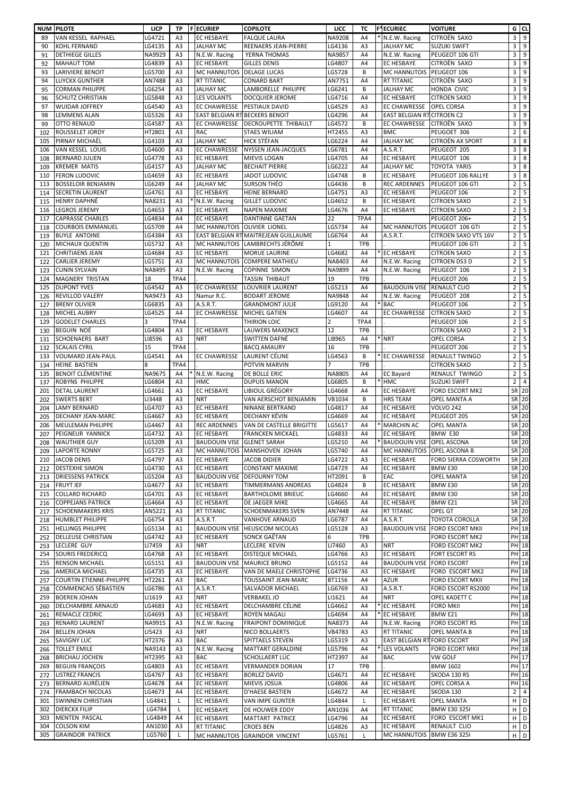| <b>NUM</b> | <b>PILOTE</b>                                       | <b>LICP</b>      | <b>TP</b>                        | <b>F</b> ECURIEP                       | <b>COPILOTE</b>                                                              | <b>LICC</b>      | TC               | <b>F*ECURIEC</b>                       | <b>VOITURE</b>                                   |                                  | $G$ CL                               |
|------------|-----------------------------------------------------|------------------|----------------------------------|----------------------------------------|------------------------------------------------------------------------------|------------------|------------------|----------------------------------------|--------------------------------------------------|----------------------------------|--------------------------------------|
| 89         | VAN KESSEL RAPHAEL                                  | LG4721           | A <sub>3</sub>                   | <b>EC HESBAYE</b>                      | <b>FALQUE LAURA</b>                                                          | <b>NA9208</b>    | A4               | * N.E.W. Racing                        | <b>CITROËN SAXO</b>                              | $\mathbf{3}$                     | 9                                    |
| 90         | <b>KOHL FERNAND</b>                                 | LG4135           | A <sub>3</sub>                   | <b>JALHAY MC</b>                       | <b>REENAERS JEAN-PIERRE</b>                                                  | LG4136           | A <sub>3</sub>   | <b>JALHAY MC</b>                       | <b>SUZUKI SWIFT</b>                              | 3                                | 9                                    |
| 91         | <b>DETHIEGE GILLES</b>                              | NA9929           | A <sub>3</sub>                   | N.E.W. Racing                          | YERNA THOMAS                                                                 | <b>NA9857</b>    | A4               | N.E.W. Racing                          | PEUGEOT 106 GTI                                  | 3                                | $9\,$                                |
| 92         | <b>MAHAUT TOM</b>                                   | LG4839           | A <sub>3</sub>                   | <b>EC HESBAYE</b>                      | <b>GILLES DENIS</b>                                                          | LG4807           | A4               | <b>EC HESBAYE</b>                      | CITROËN SAXO                                     | 3                                | 9                                    |
| 93         | <b>LARIVIERE BENOIT</b>                             | LG5700           | A <sub>3</sub>                   | <b>MC HANNUTOIS</b>                    | <b>DELAGE LUCAS</b>                                                          | LG5728           | B                | <b>MC HANNUTOIS</b>                    | PEUGEOT 106                                      | 3                                | 9                                    |
| 94         | <b>LUYCKX GUNTHER</b>                               | AN7488           | A <sub>3</sub>                   | <b>RT TITANIC</b>                      | <b>CONARD BART</b>                                                           | AN7751           | A4               | <b>RT TITANIC</b>                      | CITROËN SAXO                                     | 3                                | 9                                    |
| 95         | <b>CORMAN PHILIPPE</b><br><b>SCHUTZ CHRISTIAN</b>   | LG6254<br>LG5848 | A <sub>3</sub><br>A <sub>3</sub> | <b>JALHAY MC</b><br><b>LES VOLANTS</b> | LAMBORELLE PHILIPPE<br><b>DOCQUIER JEROME</b>                                | LG6241<br>LG4716 | B<br>A4          | <b>JALHAY MC</b><br><b>EC HESBAYE</b>  | HONDA CIVIC<br><b>CITROEN SAXO</b>               | 3<br>3                           | 9<br>9                               |
| 96<br>97   | <b>WUIDAR JOFFREY</b>                               | LG4540           | A3                               | <b>EC CHAWRESSE</b>                    | <b>PESTIAUX DAVID</b>                                                        | LG4529           | A3               | <b>EC CHAWRESSE</b>                    | <b>OPEL CORSA</b>                                | 3                                | 9                                    |
| 98         | <b>LEMMENS ALAN</b>                                 | LG5326           | A <sub>3</sub>                   | EAST BELGIAN RTBECKERS BENOIT          |                                                                              | LG4296           | A4               | <b>EAST BELGIAN RTCITROEN C2</b>       |                                                  | 3                                | 9                                    |
| -99        | <b>OTTO RENAUD</b>                                  | LG4587           | A <sub>3</sub>                   |                                        | EC CHAWRESSE   DECROUPETTE THIBAULT                                          | LG4572           | B                | <b>EC CHAWRESSE</b>                    | <b>CITROËN SAXO</b>                              | 3                                | 9                                    |
| 102        | ROUSSELET JORDY                                     | HT2801           | A <sub>3</sub>                   | <b>RAC</b>                             | <b>STAES WILIAM</b>                                                          | HT2455           | A <sub>3</sub>   | <b>BMC</b>                             | PEUGOET 306                                      | 2 <sup>1</sup>                   | 6                                    |
| 105        | PIRNAY MICHAËL                                      | LG4103           | A <sub>3</sub>                   | <b>JALHAY MC</b>                       | <b>HICK STÉFAN</b>                                                           | LG6224           | A4               | <b>JALHAY MC</b>                       | <b>CITROËN AX SPORT</b>                          | 3                                | 8                                    |
| 106        | VAN KESSEL LOUIS                                    | LG4600           | A3                               | <b>EC CHAWRESSE</b>                    | <b>NYSSEN JEAN-JACQUES</b>                                                   | LG6781           | A4               | A.S.R.T.                               | PEUGEOT 205                                      | 3                                | 8                                    |
| 108        | <b>BERNARD JULIEN</b>                               | LG4778           | A <sub>3</sub>                   | <b>EC HESBAYE</b>                      | <b>MIEVIS LOGAN</b>                                                          | LG4705           | A4               | <b>EC HESBAYE</b>                      | PEUGEOT 106                                      | 3                                | 8                                    |
| 109        | <b>KREMER MATIS</b>                                 | LG4157           | A3                               | <b>JALHAY MC</b>                       | <b>BECHAIT PIERRE</b>                                                        | LG6222           | A4               | <b>JALHAY MC</b>                       | <b>TOYOTA YARIS</b>                              | 3                                | 8                                    |
| 110        | <b>FERON LUDOVIC</b>                                | LG4659           | A <sub>3</sub>                   | <b>EC HESBAYE</b>                      | <b>JADOT LUDOVIC</b>                                                         | LG4748           | B                | <b>EC HESBAYE</b>                      | PEUGEOT 106 RALLYE                               | 3                                | 8                                    |
| 113        | <b>BOSSELOIR BENJAMIN</b>                           | LG6249           | A4                               | <b>JALHAY MC</b>                       | <b>SURSON THÉO</b>                                                           | LG4436           | B                | <b>REC ARDENNES</b>                    | PEUGEOT 106 GTI                                  | 2 <sup>1</sup>                   | 5                                    |
| 114        | <b>SECRETIN LAURENT</b>                             | LG4761           | A <sub>3</sub>                   | <b>EC HESBAYE</b>                      | <b>HEINE BERNARD</b>                                                         | LG4751           | A3               | <b>EC HESBAYE</b>                      | PEUGEOT 106                                      | $\overline{2}$                   | 5                                    |
| 115        | <b>HENRY DAPHNÉ</b>                                 | NA8231           | A3                               | N.E.W. Racing                          | <b>GILLET LUDOVIC</b>                                                        | LG4652           | B                | <b>EC HESBAYE</b>                      | <b>CITROEN SAXO</b>                              | $\overline{2}$                   | $\overline{\mathbf{5}}$              |
| 116        | <b>LEGROS JEREMY</b>                                | LG4653           | A <sub>3</sub>                   | <b>EC HESBAYE</b>                      | <b>NAPEN MAXIME</b>                                                          | LG4676           | A4               | <b>EC HESBAYE</b>                      | <b>CITROEN SAXO</b>                              | $\overline{2}$                   | 5                                    |
| 117        | <b>CAPRASSE CHARLES</b>                             | LG4834           | A4                               | <b>EC HESBAYE</b>                      | <b>DANTINNE GAETAN</b>                                                       | 22               | TPA4             |                                        | PEUGEOT 206+                                     | $\overline{2}$                   | 5                                    |
| 118        | <b>COURBOIS EMMANUEL</b>                            | LG5709           | A4                               | MC HANNUTOIS OLIVIER LIONEL            |                                                                              | LG5734           | A4               | <b>MC HANNUTOIS</b>                    | <b>PEUGEOT 106 GTI</b>                           | $\overline{2}$                   | 5<br>5                               |
| 119<br>120 | <b>BUYLE ANTOINE</b><br><b>MICHAUX QUENTIN</b>      | LG4384<br>LG5732 | A <sub>3</sub><br>A <sub>3</sub> |                                        | <b>EAST BELGIAN RTMAITREJEAN GUILLAUME</b><br>MC HANNUTOIS LAMBRECHTS JÉRÔME | LG6764           | A4<br><b>TPB</b> | A.S.R.T.                               | <b>CITROEN SAXO VTS 16V</b><br>PEUGEOT 106 GTI   | $\overline{2}$<br>$\overline{2}$ | $5\phantom{.0}$                      |
| 121        | <b>CHRITIAENS JEAN</b>                              | LG4684           | A <sub>3</sub>                   | <b>EC HESBAYE</b>                      | <b>MORUE LAURINE</b>                                                         | LG4682           | A4               | * EC HESBAYE                           | <b>CITROEN SAXO</b>                              | $2^{\circ}$                      | 5                                    |
| 122        | <b>CARLIER JEREMY</b>                               | LG5751           | A <sub>3</sub>                   |                                        | MC HANNUTOIS COMPERE MATHIEU                                                 | NA8403           | A4               | N.E.W. Racing                          | <b>CITROEN DS3 D</b>                             | $\overline{2}$                   | 5                                    |
| 123        | <b>CUNIN SYLVAIN</b>                                | NA8495           | A3                               | N.E.W. Racing                          | COPINNE SIMON                                                                | NA9899           | A4               | N.E.W. Racing                          | PEUGEOT 106                                      | $\overline{2}$                   | 5                                    |
| 124        | <b>MAGNERY TRISTAN</b>                              | 18               | TPA4                             |                                        | TASSIN THIBAUT                                                               | 19               | <b>TPB</b>       |                                        | PEUGEOT 206                                      | 2 <sup>1</sup>                   |                                      |
| 125        | <b>DUPONT YVES</b>                                  | LG4542           | A3                               |                                        | EC CHAWRESSE   LOUVRIER LAURENT                                              | LG5213           | A4               | <b>BAUDOUIN VISE RENAULT CLIO</b>      |                                                  | $\overline{2}$                   | $\overline{5}$                       |
| 126        | <b>REVILLOD VALERY</b>                              | NA9473           | A <sub>3</sub>                   | Namur R.C.                             | <b>BODART JEROME</b>                                                         | <b>NA9848</b>    | A4               | N.E.W. Racing                          | PEUGEOT 208                                      | $\overline{2}$                   | $\overline{5}$                       |
| 127        | <b>BRENY OLIVIER</b>                                | LG6835           | A <sub>3</sub>                   | A.S.R.T.                               | <b>GRANDMONT JULIE</b>                                                       | LG9120           | A4               | * BAC                                  | PEUGEOT 106                                      | $\overline{2}$                   | $\overline{\phantom{0}}$             |
| 128        | <b>MICHEL AUBRY</b>                                 | LG4525           | A4                               | <b>EC CHAWRESSE</b>                    | MICHEL GATIEN                                                                | LG4607           | A4               | <b>EC CHAWRESSE</b>                    | <b>CITROEN SAXO</b>                              | $\overline{2}$                   | $\overline{5}$                       |
| 129        | <b>GODELET CHARLES</b>                              |                  | TPA4                             |                                        | THIRION LOIC                                                                 | 2                | TPA4             |                                        | PEUGEOT 106                                      | $\overline{2}$                   | 5                                    |
| 130        | <b>BEGUIN NOÉ</b>                                   | LG4804           | A3                               | <b>EC HESBAYE</b>                      | <b>LAUWERS MAXENCE</b>                                                       | 12               | <b>TPB</b>       |                                        | <b>CITROEN SAXO</b>                              | $\overline{2}$                   | $5\phantom{.0}$                      |
| 131        | <b>SCHOENAERS BART</b>                              | LI8596           | A3                               | <b>NRT</b>                             | SWITTEN DAFNÉ                                                                | LI8965           | A4               | * NRT                                  | <b>OPEL CORSA</b>                                | $\overline{2}$                   | $\overline{\overline{\overline{5}}}$ |
| 132        | <b>SCALAIS CYRIL</b>                                | 15               | TPA4                             |                                        | <b>BACQ AMAURY</b>                                                           | 16               | <b>TPB</b>       |                                        | PEUGEOT 206                                      | 2 <sup>1</sup>                   |                                      |
| 133        | <b>VOUMARD JEAN-PAUL</b>                            | LG4541           | A4                               | <b>EC CHAWRESSE</b>                    | LAURENT CÉLINE                                                               | LG4563           | B                | * EC CHAWRESSE                         | <b>RENAULT TWINGO</b>                            | $\overline{2}$                   | $5\overline{5}$                      |
| 134        | HEINE BASTIEN                                       | 8                | TPA4                             |                                        | POTVIN MARVIN                                                                |                  | <b>TPB</b>       |                                        | <b>CITROEN SAXO</b>                              | $\overline{2}$                   | 5                                    |
| 135        | <b>BENOIT CLÉMENTINE</b>                            | NA9675           | A4                               | N.E.W. Racing                          | <b>DE BOLLE ERIC</b>                                                         | <b>NA8805</b>    | A4               | <b>EC Bayard</b><br>* HMC              | RENAULT TWINGO                                   | $\overline{2}$                   | 5<br>$\overline{4}$                  |
| 137        | ROBYNS PHILIPPE                                     | LG6804<br>LG4661 | A3<br>A3                         | <b>HMC</b><br><b>EC HESBAYE</b>        | <b>DUPUIS MANON</b><br>LIBIOUL GRÉGORY                                       | LG6805<br>LG4668 | B                | <b>EC HESBAYE</b>                      | <b>SUZUKI SWIFT</b><br>FORD ESCORT MK2           | 2 <sup>1</sup>                   | $SR$ 20                              |
| 201<br>202 | <b>DETAL LAURENT</b><br><b>SWERTS BERT</b>          | LI3448           | A <sub>3</sub>                   | <b>NRT</b>                             | VAN AERSCHOT BENJAMIN                                                        | VB1034           | A4<br>B          | <b>HRS TEAM</b>                        | <b>OPEL MANTA A</b>                              |                                  | SR 20                                |
| 204        | <b>LAMY BERNARD</b>                                 | LG4707           | A <sub>3</sub>                   | <b>EC HESBAYE</b>                      | <b>NINANE BERTRAND</b>                                                       | LG4817           | A4               | <b>EC HESBAYE</b>                      | <b>VOLVO 242</b>                                 |                                  | SR 20                                |
| 205        | DECHANY JEAN-MARC                                   | LG4667           | A3                               | <b>EC HESBAYE</b>                      | <b>DECHANY KÉVIN</b>                                                         | LG4669           | A4               | <b>EC HESBAYE</b>                      | PEUGEOT 205                                      |                                  | $SR$ 20                              |
| 206        | <b>MEULEMAN PHILIPPE</b>                            | LG4467           | A <sub>3</sub>                   | <b>REC ARDENNES</b>                    | VAN DE CASTELLE BRIGITTE                                                     | LG5617           | A4               | <b>MARCHIN AC</b>                      | <b>OPEL MANTA</b>                                | SR                               | 20                                   |
| 207        | PEIGNEUR YANNICK                                    | LG4732           | A3                               | <b>EC HESBAYE</b>                      | <b>FRANCKEN MICKAEL</b>                                                      | LG4833           | A4               | <b>EC HESBAYE</b>                      | BMW E30                                          |                                  | SR 20                                |
| 208        | <b>WAUTHIER GUY</b>                                 | LG5209           | A <sub>3</sub>                   | <b>BAUDOUIN VISE GLENET SARAH</b>      |                                                                              | LG5210           | A4               | * BAUDOUIN VISE                        | <b>OPEL ASCONA</b>                               |                                  | SR 20                                |
| 209        | <b>LAPORTE RONNY</b>                                | LG5725           | A <sub>3</sub>                   |                                        | MC HANNUTOIS MANSHOVEN JOHAN                                                 | LG5740           | A4               | <b>MC HANNUTOIS</b>                    | <b>OPEL ASCONA B</b>                             |                                  | $SR$ 20                              |
| 210        | <b>JACOB DENIS</b>                                  | LG4797           | A <sub>3</sub>                   | <b>EC HESBAYE</b>                      | <b>JACOB DIDIER</b>                                                          | LG4722           | A <sub>3</sub>   | <b>EC HESBAYE</b>                      | <b>FORD SIERRA COSWORTH</b>                      |                                  | SR 20                                |
| 212        | <b>DESTEXHE SIMON</b>                               | LG4730           | A <sub>3</sub>                   | <b>EC HESBAYE</b>                      | <b>CONSTANT MAXIME</b>                                                       | LG4729           | A4               | <b>EC HESBAYE</b>                      | BMW E30                                          |                                  | SR 20                                |
| 213        | <b>DRIESSENS PATRICK</b>                            | LG5204           | A3                               | <b>BAUDOUIN VISE DEFOURNY TOM</b>      |                                                                              | HT2091           | B                | <b>EAC</b>                             | <b>OPEL MANTA</b>                                |                                  | SR 20                                |
| 214        | <b>FRUYT IEF</b>                                    | LG4677           | A <sub>3</sub>                   | <b>EC HESBAYE</b>                      | <b>TIMMERMANS ANDREAS</b>                                                    | LG4824           | B                | <b>EC HESBAYE</b>                      | BMW E30                                          |                                  | $SR$ 20                              |
| 215        | <b>COLLARD RICHARD</b>                              | LG4701           | A <sub>3</sub>                   | <b>EC HESBAYE</b>                      | <b>BARTHOLOME BRIEUC</b>                                                     | LG4660           | A4               | <b>EC HESBAYE</b>                      | BMW E30                                          |                                  | SR 20                                |
| 216        | <b>COPPEJANS PATRICK</b>                            | LG4664           | A3                               | <b>EC HESBAYE</b>                      | <b>DE JAEGER MIKE</b>                                                        | LG4665           | A4               | <b>EC HESBAYE</b>                      | BMW <sub>E21</sub>                               |                                  | $SR$ 20                              |
| 217        | <b>SCHOENMAKERS KRIS</b>                            | AN5221           | A3                               | <b>RT TITANIC</b>                      | <b>SCHOENMAKERS SVEN</b>                                                     | AN7448           | A4               | <b>RT TITANIC</b>                      | <b>OPEL GT</b>                                   | SR                               | 20                                   |
| 218        | <b>HUMBLET PHILIPPE</b><br><b>HELLINGS PHILIPPE</b> | LG6754           | A3                               | A.S.R.T.                               | <b>VANHOVE ARNAUD</b><br><b>BAUDOUIN VISE HEUSICOM NICOLAS</b>               | LG6787           | A4               | A.S.R.T.                               | <b>TOYOTA COROLLA</b><br><b>FORD ESCORT MKII</b> |                                  | $SR$ 20                              |
| 251<br>252 | <b>DELLEUSE CHRISTIAN</b>                           | LG5134<br>LG4742 | A1<br>A3                         | <b>EC HESBAYE</b>                      | <b>SONCK GAËTAN</b>                                                          | LG5128<br>6      | A3<br><b>TPB</b> | <b>BAUDOUIN VISE</b>                   | FORD ESCORT MK2                                  |                                  | PH 18<br>PH 18                       |
| 253        | <b>LECLERE GUY</b>                                  | LI7459           | A3                               | <b>NRT</b>                             | <b>LECLERE KEVIN</b>                                                         | LI7460           | A3               | <b>NRT</b>                             | <b>FORD ESCORT MK2</b>                           |                                  | PH 18                                |
| 254        | <b>SOURIS FREDERICQ</b>                             | LG4768           | A3                               | <b>EC HESBAYE</b>                      | <b>DISTEQUE MICHAEL</b>                                                      | LG4766           | A <sub>3</sub>   | <b>EC HESBAYE</b>                      | <b>FORT ESCORT RS</b>                            |                                  | <b>PH</b> 18                         |
| 255        | <b>RENSON MICHAEL</b>                               | LG5151           | A <sub>3</sub>                   |                                        | BAUDOUIN VISE MAURICE BRUNO                                                  | LG5152           | A4               | <b>BAUDOUIN VISE FORD ESCORT</b>       |                                                  |                                  | $PH$ 18                              |
| 256        | <b>AMERICA MICHAEL</b>                              | LG4735           | A <sub>3</sub>                   | <b>EC HESBAYE</b>                      | VAN DE MAELE CHRISTOPHE                                                      | LG4736           | A <sub>3</sub>   | <b>EC HESBAYE</b>                      | FORD ESCORT MK2                                  |                                  | PH 18                                |
| 257        | COURTIN ETIENNE-PHILIPPE                            | HT2261           | A3                               | <b>BAC</b>                             | <b>TOUSSAINT JEAN-MARC</b>                                                   | <b>BT1156</b>    | A4               | <b>AZUR</b>                            | <b>FORD ESCORT MKII</b>                          |                                  | PH 18                                |
| 258        | <b>COMMENCAIS SÉBASTIEN</b>                         | LG6786           | A3                               | A.S.R.T.                               | <b>SALVADOR MICHAEL</b>                                                      | LG6769           | A <sub>3</sub>   | A.S.R.T.                               | FORD ESCORT RS2000                               |                                  | $PH$ 18                              |
| 259        | <b>BOEREN JOHAN</b>                                 | LI1619           | A <sub>3</sub>                   | <b>NRT</b>                             | <b>VERBAKEL JO</b>                                                           | LI1621           | A4               | <b>NRT</b>                             | OPEL KADETT C                                    |                                  | PH 18                                |
| 260        | <b>DELCHAMBRE ARNAUD</b>                            | LG4683           | A3                               | <b>EC HESBAYE</b>                      | DELCHAMBRE CÉLINE                                                            | LG4662           | A4               | * EC HESBAYE                           | <b>FORD MKII</b>                                 |                                  | PH 18                                |
| 261        | REMACLE CEDRIC                                      | LG4693           | A3                               | <b>EC HESBAYE</b>                      | <b>ROYEN MAGALI</b>                                                          | LG4694           | A4               | * EC HESBAYE                           | BMW <sub>E21</sub>                               |                                  | PH 18                                |
| 263        | <b>RENARD LAURENT</b>                               | NA9915           | A3                               | N.E.W. Racing                          | <b>FRAIPONT DOMINIQUE</b>                                                    | NA8373           | A4               | N.E.W. Racing                          | <b>FORD ESCORT RS</b>                            |                                  | $PH$ 18                              |
| 264        | <b>BELLEN JOHAN</b>                                 | LI5423           | A3                               | <b>NRT</b>                             | NICO BOLLAERTS                                                               | VB4783           | A <sub>3</sub>   | <b>RT TITANIC</b>                      | <b>OPEL MANTA B</b>                              |                                  | PH 18                                |
| 265        | <b>SAVIGNY LUC</b>                                  | HT2376           | A3                               | <b>BAC</b>                             | <b>SPITTAELS STEVEN</b>                                                      | LG5319           | A <sub>3</sub>   | <b>EAST BELGIAN RTFORD ESCORT</b>      |                                                  |                                  | PH 18                                |
| 266        | <b>TOLLET EMILE</b>                                 | NA9143           | A <sub>3</sub>                   | N.E.W. Racing                          | <b>MATTART GERALDINE</b>                                                     | LG5796           | A4               | * LES VOLANTS                          | <b>FORD ECORT MKII</b>                           |                                  | $PH$ 18                              |
| 268        | <b>BRICHAU JOCHEN</b>                               | HT2395           | A3                               | <b>BAC</b>                             | <b>SCHOLLAERT LUC</b>                                                        | HT2397           | A4               | <b>BAC</b>                             | VW GOLF                                          |                                  | $PH$ 17                              |
| 269        | <b>BEGUIN FRANÇOIS</b>                              | LG4803           | A3                               | <b>EC HESBAYE</b>                      | <b>VERMANDER DORIAN</b>                                                      | 17               | <b>TPB</b>       |                                        | <b>BMW 1602</b>                                  |                                  | PH 17                                |
| 272        | <b>LISTREZ FRANCIS</b>                              | LG4767           | A <sub>3</sub>                   | <b>EC HESBAYE</b>                      | <b>BORLEZ DAVID</b>                                                          | LG4671           | A4               | <b>EC HESBAYE</b>                      | SKODA 130 RS                                     |                                  | $PH$ 16                              |
| 273        | <b>BERNARD AURÉLIEN</b>                             | LG4678           | A4                               | <b>EC HESBAYE</b>                      | <b>MIEVIS JOSUA</b>                                                          | LG4806           | A4               | <b>EC HESBAYE</b>                      | OPEL CORSA A                                     |                                  | $PH$ 16                              |
| 274        | <b>FRAMBACH NICOLAS</b><br><b>SWINNEN CHRISTIAN</b> | LG4673<br>LG4841 | A4                               | <b>EC HESBAYE</b>                      | <b>D'HAESE BASTIEN</b>                                                       | LG4672           | A4               | <b>EC HESBAYE</b><br><b>EC HESBAYE</b> | SKODA 130<br><b>OPEL MANTA</b>                   | $\overline{2}$<br>H              | $\overline{4}$<br>$\overline{D}$     |
| 301<br>302 | <b>DIERCKX FILIP</b>                                | LG4784           | L.<br>L.                         | <b>EC HESBAYE</b><br><b>EC HESBAYE</b> | <b>VAN IMPE GUNTER</b><br><b>DE HOUWER EDDY</b>                              | LG4844<br>AN1036 | A4               | <b>RT TITANIC</b>                      | <b>BMW E30 3251</b>                              |                                  | H   D                                |
| 303        | <b>MENTEN PASCAL</b>                                | LG4849           | A4                               | <b>EC HESBAYE</b>                      | <b>MATTART PATRICE</b>                                                       | LG4796           | A4               | <b>EC HESBAYE</b>                      | FORD ESCORT MK1                                  |                                  | $H$ $D$                              |
| 304        | <b>COLSON KIM</b>                                   | AN1030           | A <sub>3</sub>                   | <b>RT TITANIC</b>                      | <b>CROES BEN</b>                                                             | LG4826           | A <sub>3</sub>   | <b>EC HESBAYE</b>                      | RENAULT CLIO                                     |                                  | H   D                                |
| 305        | <b>GRAINDOR PATRICK</b>                             | LG5760           |                                  |                                        | MC HANNUTOIS GRAINDOR VINCENT                                                | LG5761           |                  | MC HANNUTOIS BMW E36 3251              |                                                  |                                  | $H$ D                                |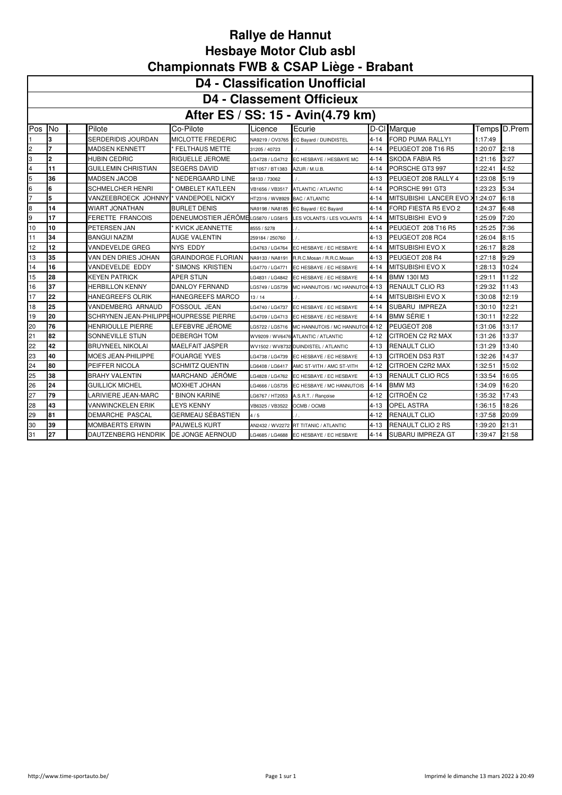|                                  | <b>D4 - Classification Unofficial</b> |  |                                        |                                    |                                |                                        |          |                                |         |              |  |  |  |
|----------------------------------|---------------------------------------|--|----------------------------------------|------------------------------------|--------------------------------|----------------------------------------|----------|--------------------------------|---------|--------------|--|--|--|
| <b>D4 - Classement Officieux</b> |                                       |  |                                        |                                    |                                |                                        |          |                                |         |              |  |  |  |
|                                  | After ES / SS: 15 - Avin(4.79 km)     |  |                                        |                                    |                                |                                        |          |                                |         |              |  |  |  |
| Pos                              | <b>No</b>                             |  | Pilote                                 | Co-Pilote                          | Licence                        | Ecurie                                 |          | D-Cl Marque                    |         | Temps D.Prem |  |  |  |
|                                  | 3                                     |  | SERDERIDIS JOURDAN                     | MICLOTTE FREDERIC                  |                                | NA9219 / OV3765 EC Bayard / DUINDISTEL | $4 - 14$ | <b>FORD PUMA RALLY1</b>        | 1:17:49 |              |  |  |  |
| 2                                | $\overline{7}$                        |  | <b>MADSEN KENNETT</b>                  | <b>FELTHAUS METTE</b>              | 31205 / 40723                  |                                        | $4 - 14$ | PEUGEOT 208 T16 R5             | 1:20:07 | 2:18         |  |  |  |
| 3                                | $\overline{2}$                        |  | <b>HUBIN CEDRIC</b>                    | RIGUELLE JEROME                    | G4728 / LG4712                 | EC HESBAYE / HESBAYE MC                | $4 - 14$ | <b>SKODA FABIA R5</b>          | 1:21:16 | 3:27         |  |  |  |
| 4                                | 11                                    |  | <b>GUILLEMIN CHRISTIAN</b>             | <b>SEGERS DAVID</b>                | BT1057 / BT1383                | AZUR / M.U.B.                          | $4 - 14$ | PORSCHE GT3 997                | 1:22:41 | 4:52         |  |  |  |
| 5                                | 36                                    |  | <b>MADSEN JACOB</b>                    | NEDERGAARD LINE                    | 58133 / 73062                  |                                        | $4 - 13$ | PEUGEOT 208 RALLY 4            | 1:23:08 | 5:19         |  |  |  |
| 6                                | 6                                     |  | <b>SCHMELCHER HENRI</b>                | <b>OMBELET KATLEEN</b>             | VB1656 / VB3517                | ATLANTIC / ATLANTIC                    | $4 - 14$ | PORSCHE 991 GT3                | 1:23:23 | 5:34         |  |  |  |
|                                  | 5                                     |  | VANZEEBROECK JOHNNY                    | VANDEPOEL NICKY                    | HT2316 / WV8929 BAC / ATLANTIC |                                        | $4 - 14$ | MITSUBISHI LANCER EVO X1:24:07 |         | 6:18         |  |  |  |
| 8                                | 14                                    |  | <b>WIART JONATHAN</b>                  | <b>BURLET DENIS</b>                |                                | NA9198 / NA8185 EC Bayard / EC Bayard  | $4 - 14$ | FORD FIESTA R5 EVO 2           | 1:24:37 | 6:48         |  |  |  |
| 9                                | 17                                    |  | <b>FERETTE FRANCOIS</b>                | DENEUMOSTIER JÉRÔMELG5870 / LG5815 |                                | LES VOLANTS / LES VOLANTS              | $4 - 14$ | MITSUBISHI EVO 9               | 1:25:09 | 7:20         |  |  |  |
| 10                               | 10                                    |  | PETERSEN JAN                           | <b>KVICK JEANNETTE</b>             | 8555 / 5278                    | $\prime$ .                             | $4 - 14$ | PEUGEOT 208 T16 R5             | 1:25:25 | 7:36         |  |  |  |
| 11                               | 34                                    |  | <b>BANGUI NAZIM</b>                    | <b>AUGE VALENTIN</b>               | 259184 / 250760                | $\prime$ .                             | $4 - 13$ | PEUGEOT 208 RC4                | 1:26:04 | 8:15         |  |  |  |
| 12                               | 12                                    |  | <b>VANDEVELDE GREG</b>                 | <b>NYS EDDY</b>                    | G4763 / LG4764                 | EC HESBAYE / EC HESBAYE                | $4 - 14$ | <b>MITSUBISHI EVO X</b>        | 1:26:17 | 8:28         |  |  |  |
| 13                               | 35                                    |  | VAN DEN DRIES JOHAN                    | <b>GRAINDORGE FLORIAN</b>          | NA9133 / NA8191                | R.R.C.Mosan / R.R.C.Mosan              | $4 - 13$ | PEUGEOT 208 R4                 | 1:27:18 | 9:29         |  |  |  |
| 14                               | 16                                    |  | VANDEVELDE EDDY                        | <b>SIMONS KRISTIEN</b>             | G4770 / LG4771                 | EC HESBAYE / EC HESBAYE                | $4 - 14$ | MITSUBISHI EVO X               | 1:28:13 | 10:24        |  |  |  |
| 15                               | 28                                    |  | <b>KEYEN PATRICK</b>                   | <b>APER STIJN</b>                  | G4831 / LG4842                 | EC HESBAYE / EC HESBAYE                | $4 - 14$ | <b>BMW 130I M3</b>             | 1:29:11 | 11:22        |  |  |  |
| 16                               | 37                                    |  | <b>HERBILLON KENNY</b>                 | DANLOY FERNAND                     | G5749 / LG5739                 | MC HANNUTOIS / MC HANNUTOI: 4-13       |          | <b>RENAULT CLIO R3</b>         | 1:29:32 | 11:43        |  |  |  |
| 17                               | 22                                    |  | <b>HANEGREEFS OLRIK</b>                | <b>HANEGREEFS MARCO</b>            | 13/14                          |                                        | 4-14     | MITSUBISHI EVO X               | 1:30:08 | 12:19        |  |  |  |
| 18                               | 25                                    |  | VANDEMBERG ARNAUD                      | <b>FOSSOUL JEAN</b>                | G4740 / LG4737                 | EC HESBAYE / EC HESBAYE                | $4 - 14$ | SUBARU IMPREZA                 | 1:30:10 | 12:21        |  |  |  |
| 19                               | 20                                    |  | SCHRYNEN JEAN-PHILIPPEHOUPRESSE PIERRE |                                    | G4709 / LG4713                 | EC HESBAYE / EC HESBAYE                | $4 - 14$ | <b>BMW SERIE 1</b>             | 1:30:11 | 12:22        |  |  |  |
| 20                               | 76                                    |  | <b>HENRIOULLE PIERRE</b>               | LEFEBVRE JÉROME                    | G5722 / LG5716                 | MC HANNUTOIS / MC HANNUTOI: 4-12       |          | PEUGEOT 208                    | 1:31:06 | 13:17        |  |  |  |
| 21                               | 82                                    |  | SONNEVILLE STIJN                       | <b>DEBERGH TOM</b>                 |                                | WV9209 / WV6476 ATLANTIC / ATLANTIC    | $4 - 12$ | CITROEN C2 R2 MAX              | 1:31:26 | 13:37        |  |  |  |
| 22                               | 42                                    |  | <b>BRUYNEEL NIKOLAI</b>                | <b>MAELFAIT JASPER</b>             |                                | WV1502 / WV8732 DUINDISTEL / ATLANTIC  | $4 - 13$ | <b>RENAULT CLIO</b>            | 1:31:29 | 13:40        |  |  |  |
| 23                               | 40                                    |  | <b>MOES JEAN-PHILIPPE</b>              | <b>FOUARGE YVES</b>                | G4738 / LG4739                 | EC HESBAYE / EC HESBAYE                | $4 - 13$ | <b>CITROEN DS3 R3T</b>         | 1:32:26 | 14:37        |  |  |  |
| 24                               | 80                                    |  | PEIFFER NICOLA                         | <b>SCHMITZ QUENTIN</b>             | G6408 / LG6417                 | AMC ST-VITH / AMC ST-VITH              | 4-12     | CITROEN C2R2 MAX               | 1:32:51 | 15:02        |  |  |  |
| 25                               | 38                                    |  | <b>BRAHY VALENTIN</b>                  | MARCHAND JÉRÔME                    | G4828 / LG4762                 | EC HESBAYE / EC HESBAYE                | $4 - 13$ | <b>RENAULT CLIO RC5</b>        | 1:33:54 | 16:05        |  |  |  |
| 26                               | 24                                    |  | <b>GUILLICK MICHEL</b>                 | MOXHET JOHAN                       | G4666 / LG5735                 | EC HESBAYE / MC HANNUTOIS              | $4 - 14$ | BMW M3                         | 1:34:09 | 16:20        |  |  |  |
| 27                               | 79                                    |  | LARIVIERE JEAN-MARC                    | <b>BINON KARINE</b>                | G6767 / HT2053                 | A.S.R.T. / Rançoise                    | $4 - 12$ | CITROËN C2                     | 1:35:32 | 17:43        |  |  |  |
| 28                               | 43                                    |  | <b>VANWINCKELEN ERIK</b>               | LEYS KENNY                         | VB6325 / VB3522                | OCMB / OCMB                            | $4 - 13$ | <b>OPEL ASTRA</b>              | 1:36:15 | 18:26        |  |  |  |
| 29                               | 81                                    |  | <b>DEMARCHE PASCAL</b>                 | <b>GERMEAU SÉBASTIEN</b>           | 4/5                            |                                        | $4 - 12$ | <b>RENAULT CLIO</b>            | 1:37:58 | 20:09        |  |  |  |
| 30                               | 39                                    |  | <b>MOMBAERTS ERWIN</b>                 | <b>PAUWELS KURT</b>                |                                | AN2432 / WV2272 RT TITANIC / ATLANTIC  | 4-13     | <b>RENAULT CLIO 2 RS</b>       | 1:39:20 | 21:31        |  |  |  |
| 31                               | 27                                    |  | DAUTZENBERG HENDRIK                    | <b>DE JONGE AERNOUD</b>            | G4685 / LG4688                 | EC HESBAYE / EC HESBAYE                | 4-14     | SUBARU IMPREZA GT              | 1:39:47 | 21:58        |  |  |  |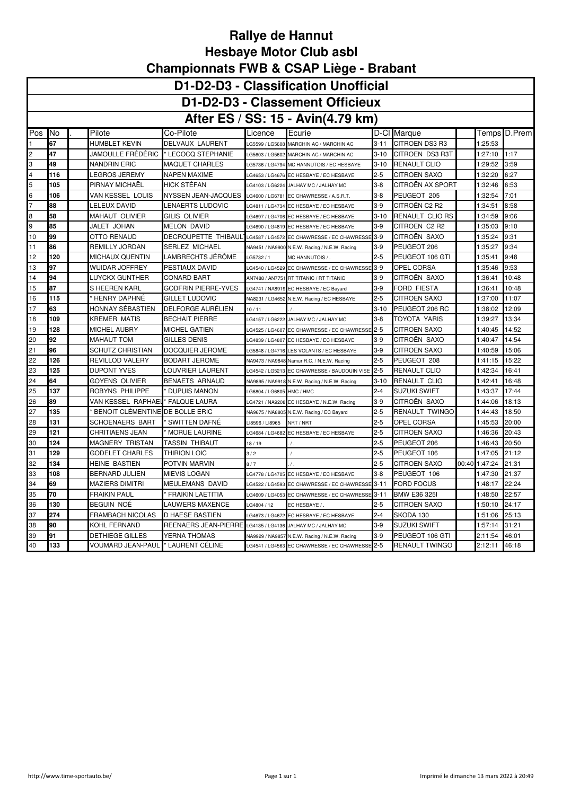### **D1-D2-D3 - Classification Unofficial**

## **D1-D2-D3 - Classement Officieux**

#### **After ES / SS: 15 - Avin(4.79 km)**

|                         | After ES / SS: 15 - AVIN(4.79 KM) |                                    |                                                            |                           |                                                 |          |                       |       |         |              |  |  |
|-------------------------|-----------------------------------|------------------------------------|------------------------------------------------------------|---------------------------|-------------------------------------------------|----------|-----------------------|-------|---------|--------------|--|--|
| Pos                     | INo                               | Pilote                             | Co-Pilote                                                  | Licence                   | Ecurie                                          |          | D-Cl Marque           |       |         | Temps D.Prem |  |  |
|                         | 67                                | HUMBLET KEVIN                      | DELVAUX LAURENT                                            | LG5599 / LG5608           | MARCHIN AC / MARCHIN AC                         | $3 - 11$ | <b>CITROEN DS3 R3</b> |       | 1:25:53 |              |  |  |
| $\overline{2}$          | 47                                |                                    | JAMOULLE FRÉDÉRIC ▌* LECOCQ STEPHANIE                      | LG5603 / LG5602           | MARCHIN AC / MARCHIN AC                         | $3-10$   | CITROEN DS3 R3T       |       | 1:27:10 | 1:17         |  |  |
| 3                       | 49                                | NANDRIN ERIC                       | <b>MAQUET CHARLES</b>                                      | LG5736 / LG4794           | MC HANNUTOIS / EC HESBAYE                       | $3 - 10$ | <b>RENAULT CLIO</b>   |       | 1:29:52 | 3:59         |  |  |
| $\overline{\mathbf{4}}$ | 116                               | LEGROS JEREMY                      | <b>NAPEN MAXIME</b>                                        |                           | G4653 / LG4676 EC HESBAYE / EC HESBAYE          | $2 - 5$  | CITROEN SAXO          |       | 1:32:20 | 6:27         |  |  |
| 5                       | 105                               | PIRNAY MICHAÉL                     | <b>HICK STEFAN</b>                                         | LG4103 / LG6224           | JALHAY MC / JALHAY MC                           | $3 - 8$  | CITROËN AX SPORT      |       | 1:32:46 | 6:53         |  |  |
| 6                       | 106                               | VAN KESSEL LOUIS                   | NYSSEN JEAN-JACQUES                                        | LG4600 / LG6781           | EC CHAWRESSE / A.S.R.T.                         | $3-8$    | PEUGEOT 205           |       | 1:32:54 | 7:01         |  |  |
| 7                       | 88                                | LELEUX DAVID                       | LENAERTS LUDOVIC                                           | LG4811 / LG4734           | EC HESBAYE / EC HESBAYE                         | 3-9      | CITROËN C2 R2         |       | 1:34:51 | 8:58         |  |  |
| 8                       | 58                                | MAHAUT OLIVIER                     | GILIS OLIVIER                                              |                           | LG4697 / LG4706 EC HESBAYE / EC HESBAYE         | 3-10     | RENAULT CLIO RS       |       | 1:34:59 | 9:06         |  |  |
| 9                       | 85                                | JALET JOHAN                        | <b>MELON DAVID</b>                                         | LG4690 / LG4819           | EC HESBAYE / EC HESBAYE                         | $3-9$    | CITROEN C2 R2         |       | 1:35:03 | 9:10         |  |  |
| 10                      | 99                                | OTTO RENAUD                        | DECROUPETTE THIBAUL <sup>1</sup> LG4587/LG4572             |                           | EC CHAWRESSE / EC CHAWRESSI                     | $3-9$    | CITROËN SAXO          |       | 1:35:24 | 9:31         |  |  |
| 11                      | 86                                | REMILLY JORDAN                     | <b>SERLEZ MICHAEL</b>                                      |                           | NA9451 / NA9900 N.E.W. Racing / N.E.W. Racing   | $3-9$    | PEUGEOT 206           |       | 1:35:27 | 9:34         |  |  |
| 12                      | 120                               | MICHAUX QUENTIN                    | LAMBRECHTS JÉRÖME                                          | LG5732 / 1                | MC HANNUTOIS /                                  | $2 - 5$  | PEUGEOT 106 GTI       |       | 1:35:41 | 9:48         |  |  |
| 13                      | 97                                | WUIDAR JOFFREY                     | PESTIAUX DAVID                                             | G4540 / LG4529            | EC CHAWRESSE / EC CHAWRESS                      | $3 - 9$  | OPEL CORSA            |       | 1:35:46 | 9:53         |  |  |
| 14                      | 94                                | LUYCKX GUNTHER                     | CONARD BART                                                |                           | AN7488 / AN7751 RT TITANIC / RT TITANIC         | $3-9$    | CITROËN SAXO          |       | 1:36:41 | 10:48        |  |  |
| 15                      | 87                                | S HEEREN KARL                      | <b>GODFRIN PIERRE-YVES</b>                                 |                           | LG4741 / NA8919 EC HESBAYE / EC Bayard          | $3-9$    | FORD FIESTA           |       | 1:36:41 | 10:48        |  |  |
| 16                      | 115                               | ' HENRY DAPHNÉ                     | <b>GILLET LUDOVIC</b>                                      |                           | NA8231 / LG4652 N.E.W. Racing / EC HESBAYE      | 2-5      | CITROEN SAXO          |       | 1:37:00 | 11:07        |  |  |
| $\sqrt{17}$             | 63                                | HONNAY SÉBASTIEN                   | DELFORGE AURÉLIEN                                          | 10/11                     |                                                 | $3 - 10$ | PEUGEOT 206 RC        |       | 1:38:02 | 12:09        |  |  |
| 18                      | 109                               | KREMER MATIS                       | <b>BECHAIT PIERRE</b>                                      | LG4157 / LG6222           | JALHAY MC / JALHAY MC                           | $3-8$    | TOYOTA YARIS          |       | 1:39:27 | 13:34        |  |  |
| 19                      | 128                               | MICHEL AUBRY                       | <b>MICHEL GATIEN</b>                                       | G4525 / LG4607            | EC CHAWRESSE / EC CHAWRESSE                     | $2 - 5$  | CITROEN SAXO          |       | 1:40:45 | 14:52        |  |  |
| 20                      | 92                                | MAHAUT TOM                         | GILLES DENIS                                               | LG4839 / LG4807           | EC HESBAYE / EC HESBAYE                         | $3-9$    | CITROËN SAXO          |       | 1:40:47 | 14:54        |  |  |
| 21                      | 96                                | SCHUTZ CHRISTIAN                   | DOCQUIER JEROME                                            | LG5848 / LG4716           | LES VOLANTS / EC HESBAYE                        | $3-9$    | CITROEN SAXO          |       | 1:40:59 | 15:06        |  |  |
| 22                      | 126                               | REVILLOD VALERY                    | <b>BODART JEROME</b>                                       |                           | NA9473 / NA9848 Namur R.C. / N.E.W. Racing      | $2 - 5$  | PEUGEOT 208           |       | 1:41:15 | 15:22        |  |  |
| 23                      | 125                               | DUPONT YVES                        | LOUVRIER LAURENT                                           |                           | LG4542 / LG5213 EC CHAWRESSE / BAUDOUIN VISE    | $2 - 5$  | RENAULT CLIO          |       | 1:42:34 | 16:41        |  |  |
| 24                      | 64                                | GOYENS OLIVIER                     | <b>BENAETS ARNAUD</b>                                      | NA9895 / NA9918           | N.E.W. Racing / N.E.W. Racing                   | $3 - 10$ | RENAULT CLIO          |       | 1:42:41 | 16:48        |  |  |
| 25                      | 137                               | ROBYNS PHILIPPE                    | <b>DUPUIS MANON</b>                                        | LG6804 / LG6805 HMC / HMC |                                                 | $2 - 4$  | SUZUKI SWIFT          |       | 1:43:37 | 17:44        |  |  |
| 26                      | 89                                | VAN KESSEL RAPHAEI                 | * FALQUE LAURA                                             |                           | LG4721 / NA9208 EC HESBAYE / N.E.W. Racing      | 3-9      | CITROEN SAXO          |       | 1:44:06 | 18:13        |  |  |
| 27                      | 135                               | BENOIT CLEMENTINE DE BOLLE ERIC    |                                                            |                           | NA9675 / NA8805 N.E.W. Racing / EC Bayard       | 2-5      | RENAULT TWINGO        |       | 1:44:43 | 18:50        |  |  |
| 28                      | 131                               | SCHOENAERS BART                    | ' SWITTEN DAFNÉ                                            | LI8596 / LI8965           | NRT / NRT                                       | $2 - 5$  | OPEL CORSA            |       | 1:45:53 | 20:00        |  |  |
| 29                      | 121                               | CHRITIAENS JEAN                    | MORUE LAURINE                                              | LG4684 / LG4682           | EC HESBAYE / EC HESBAYE                         | 2-5      | CITROEN SAXO          |       | 1:46:36 | 20:43        |  |  |
| 30                      | 124                               | MAGNERY TRISTAN                    | TASSIN THIBAUT                                             | 18/19                     | $\sqrt{2}$                                      | $2 - 5$  | PEUGEOT 206           |       | 1:46:43 | 20:50        |  |  |
| 31                      | 129                               | GODELET CHARLES                    | <b>THIRION LOIC</b>                                        | 3/2                       | $\prime$ .                                      | $2 - 5$  | PEUGEOT 106           |       | 1:47:05 | 21:12        |  |  |
| 32                      | 134                               | HEINE BASTIEN                      | POTVIN MARVIN                                              | 8/7                       |                                                 | $2 - 5$  | CITROEN SAXO          | 00:40 | 1:47:24 | 21:31        |  |  |
| 33                      | 108                               | BERNARD JULIEN                     | <b>MIEVIS LOGAN</b>                                        | LG4778 / LG4705           | EC HESBAYE / EC HESBAYE                         | $3-8$    | PEUGEOT 106           |       | 1:47:30 | 21:37        |  |  |
| 34                      | 69                                | MAZIERS DIMITRI                    | MEULEMANS DAVID                                            | LG4522 / LG4593           | EC CHAWRESSE / EC CHAWRESSI                     | $3 - 11$ | FORD FOCUS            |       | 1:48:17 | 22:24        |  |  |
| 35                      | 70                                | FRAIKIN PAUL                       | * FRAIKIN LAETITIA                                         | G4609 / LG4053            | EC CHAWRESSE / EC CHAWRESSI                     | $3 - 11$ | <b>BMW E36 325I</b>   |       | 1:48:50 | 22:57        |  |  |
| 36                      | 130                               | BEGUIN NOÉ                         | <b>LAUWERS MAXENCE</b>                                     | LG4804 / 12               | EC HESBAYE /                                    | $2 - 5$  | <b>CITROEN SAXO</b>   |       | 1:50:10 | 24:17        |  |  |
| 37                      | 274                               | FRAMBACH NICOLAS                   | <b>D HAESE BASTIEN</b>                                     | LG4673 / LG4672           | EC HESBAYE / EC HESBAYE                         | $2 - 4$  | SKODA 130             |       | 1:51:06 | 25:13        |  |  |
| 38                      | 90                                | KOHL FERNAND                       | REENAERS JEAN-PIERRE LG4135 / LG4136 JALHAY MC / JALHAY MC |                           |                                                 | 3-9      | SUZUKI SWIFT          |       | 1:57:14 | 31:21        |  |  |
| 39                      | 91                                | DETHIEGE GILLES                    | YERNA THOMAS                                               |                           | NA9929 / NA9857 N.E.W. Racing / N.E.W. Racing   | $3-9$    | PEUGEOT 106 GTI       |       | 2:11:54 | 46:01        |  |  |
| 40                      | 133                               | VOUMARD JEAN-PAUL " LAURENT CÉLINE |                                                            |                           | LG4541 / LG4563 EC CHAWRESSE / EC CHAWRESSE 2-5 |          | RENAULT TWINGO        |       | 2:12:11 | 46:18        |  |  |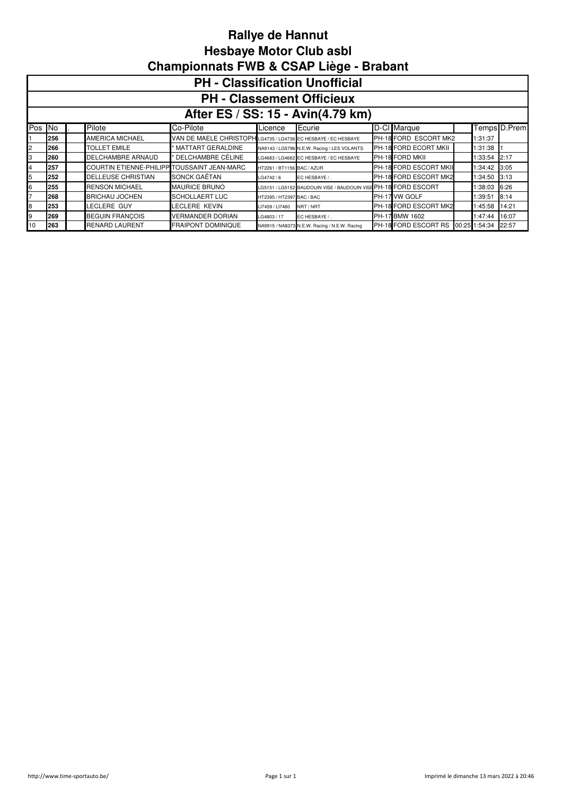|                                                                                                   | <b>PH - Classification Unofficial</b>                                                 |  |                                |                                                                |                            |                                                                |  |                        |  |               |       |  |  |
|---------------------------------------------------------------------------------------------------|---------------------------------------------------------------------------------------|--|--------------------------------|----------------------------------------------------------------|----------------------------|----------------------------------------------------------------|--|------------------------|--|---------------|-------|--|--|
|                                                                                                   | <b>PH - Classement Officieux</b>                                                      |  |                                |                                                                |                            |                                                                |  |                        |  |               |       |  |  |
|                                                                                                   | After ES / SS: 15 - Avin(4.79 km)                                                     |  |                                |                                                                |                            |                                                                |  |                        |  |               |       |  |  |
| Pos                                                                                               | D-Cl Marque<br>Temps D.Prem<br>Pilote<br><b>INo</b><br>Ecurie<br>Co-Pilote<br>Licence |  |                                |                                                                |                            |                                                                |  |                        |  |               |       |  |  |
|                                                                                                   | 256                                                                                   |  | <b>AMERICA MICHAEL</b>         | VAN DE MAELE CHRISTOPH LG4735 / LG4736 EC HESBAYE / EC HESBAYE |                            |                                                                |  | PH-18 FORD ESCORT MK2  |  | 1:31:37       |       |  |  |
| 2                                                                                                 | 266                                                                                   |  | <b>TOLLET EMILE</b>            | <b>MATTART GERALDINE</b>                                       |                            | NA9143 / LG5796 N.E.W. Racing / LES VOLANTS                    |  | PH-18 FORD ECORT MKII  |  | 1:31:38       |       |  |  |
| 3                                                                                                 | 260                                                                                   |  | DELCHAMBRE ARNAUD              | DELCHAMBRE CÉLINE                                              |                            | LG4683 / LG4662 EC HESBAYE / EC HESBAYE                        |  | <b>PH-18 FORD MKII</b> |  | 1:33:54       | 2:17  |  |  |
| 4                                                                                                 | 257                                                                                   |  | <b>COURTIN ETIENNE-PHILIPP</b> | TOUSSAINT JEAN-MARC                                            | HT2261 / BT1156 BAC / AZUR |                                                                |  | PH-18 FORD ESCORT MKII |  | 1:34:42       | 3:05  |  |  |
| 5                                                                                                 | 252                                                                                   |  | <b>DELLEUSE CHRISTIAN</b>      | SONCK GAËTAN                                                   | LG4742/6                   | EC HESBAYE / .                                                 |  | PH-18 FORD ESCORT MK2  |  | 1:34:50       | 3:13  |  |  |
| 6                                                                                                 | 255                                                                                   |  | <b>RENSON MICHAEL</b>          | <b>MAURICE BRUNO</b>                                           |                            | G5151 / LG5152 BAUDOUIN VISE / BAUDOUIN VISE PH-18 FORD ESCORT |  |                        |  | 1:38:03       | 6:26  |  |  |
| $\overline{7}$                                                                                    | 268                                                                                   |  | <b>BRICHAU JOCHEN</b>          | <b>SCHOLLAERT LUC</b>                                          | HT2395 / HT2397 BAC / BAC  |                                                                |  | PH-17 VW GOLF          |  | :39:51        | 8:14  |  |  |
| 8<br>LECLERE GUY<br>LECLERE KEVIN<br>PH-18 FORD ESCORT MK2<br>253<br>NRT / NRT<br>LI7459 / LI7460 |                                                                                       |  |                                |                                                                |                            |                                                                |  |                        |  | 1:45:58       | 14:21 |  |  |
| 9                                                                                                 | 269                                                                                   |  | <b>BEGUIN FRANCOIS</b>         | <b>VERMANDER DORIAN</b>                                        | G4803 / 17                 | EC HESBAYE / .                                                 |  | PH-17 BMW 1602         |  | 1:47:44       | 16:07 |  |  |
| 10                                                                                                | 263                                                                                   |  | <b>RENARD LAURENT</b>          | <b>FRAIPONT DOMINIQUE</b>                                      |                            | NA9915 / NA8373 N.E.W. Racing / N.E.W. Racing                  |  | PH-18 FORD ESCORT RS   |  | 00:25 1:54:34 | 22:57 |  |  |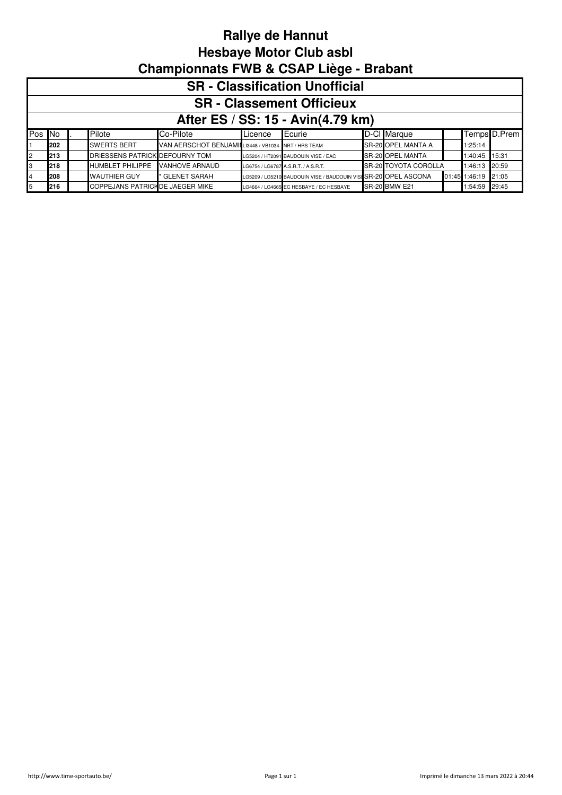|        | <b>SR</b> - Classification Unofficial                                                                                       |  |                                |                                                    |                 |                                                                 |  |                         |  |                     |              |  |
|--------|-----------------------------------------------------------------------------------------------------------------------------|--|--------------------------------|----------------------------------------------------|-----------------|-----------------------------------------------------------------|--|-------------------------|--|---------------------|--------------|--|
|        | <b>SR</b> - Classement Officieux                                                                                            |  |                                |                                                    |                 |                                                                 |  |                         |  |                     |              |  |
|        | After ES / SS: 15 - Avin(4.79 km)                                                                                           |  |                                |                                                    |                 |                                                                 |  |                         |  |                     |              |  |
| Pos No |                                                                                                                             |  | Pilote                         | Co-Pilote                                          | <b>ILicence</b> | Ecurie                                                          |  | D-Cl Marque             |  |                     | Temps D.Prem |  |
|        | 202                                                                                                                         |  | <b>SWERTS BERT</b>             | VAN AERSCHOT BENJAMILI3448 / VB1034 NRT / HRS TEAM |                 |                                                                 |  | SR-20 OPEL MANTA A      |  | 1:25:14             |              |  |
|        | 213                                                                                                                         |  | DRIESSENS PATRICK DEFOURNY TOM |                                                    |                 | LG5204 / HT2091 BAUDOUIN VISE / EAC                             |  | <b>SR-20 OPEL MANTA</b> |  | 1:40:45 15:31       |              |  |
|        | 218                                                                                                                         |  | <b>HUMBLET PHILIPPE</b>        | <b>VANHOVE ARNAUD</b>                              |                 | LG6754 / LG6787 A.S.R.T. / A.S.R.T.                             |  | SR-20 TOYOTA COROLLA    |  | 1:46:13 20:59       |              |  |
|        | 208                                                                                                                         |  | <b>WAUTHIER GUY</b>            | * GLENET SARAH                                     |                 | LG5209 / LG5210 BAUDOUIN VISE / BAUDOUIN VISI SR-20 OPEL ASCONA |  |                         |  | 01:45 1:46:19 21:05 |              |  |
|        | COPPEJANS PATRICH DE JAEGER MIKE<br><b>SR-20 BMW E21</b><br>1:54:59 29:45<br>216<br>LG4664 / LG4665 EC HESBAYE / EC HESBAYE |  |                                |                                                    |                 |                                                                 |  |                         |  |                     |              |  |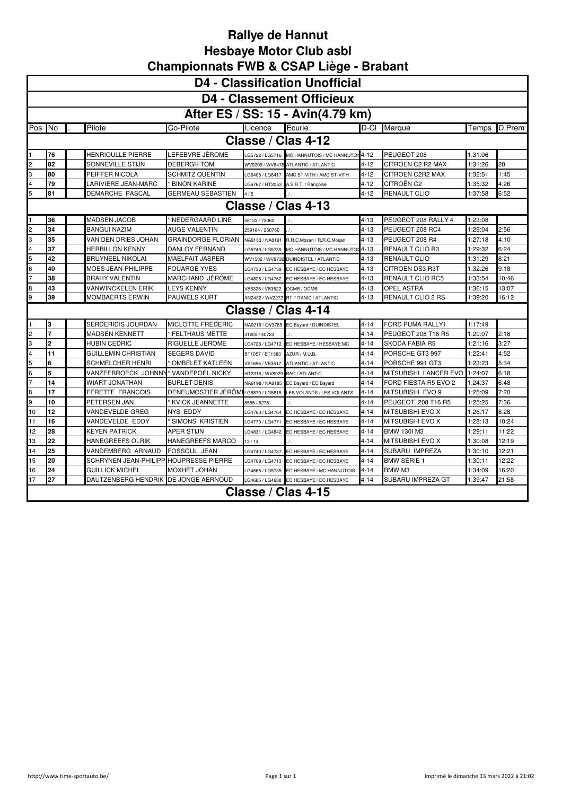|     | <b>D4 - Classification Unofficial</b>                                                                                                                   |  |                          |                                    |                             |                                           |          |                       |         |        |  |  |  |
|-----|---------------------------------------------------------------------------------------------------------------------------------------------------------|--|--------------------------|------------------------------------|-----------------------------|-------------------------------------------|----------|-----------------------|---------|--------|--|--|--|
|     |                                                                                                                                                         |  |                          |                                    |                             | <b>D4 - Classement Officieux</b>          |          |                       |         |        |  |  |  |
|     |                                                                                                                                                         |  |                          |                                    |                             | After ES / SS: 15 - Avin(4.79 km)         |          |                       |         |        |  |  |  |
| Pos | <b>INo</b>                                                                                                                                              |  | Pilote                   | Co-Pilote                          | Licence                     | <b>IEcurie</b>                            | D-CI     | Marque                | Temps   | D.Prem |  |  |  |
|     |                                                                                                                                                         |  |                          |                                    |                             | Classe / Clas 4-12                        |          |                       |         |        |  |  |  |
|     | 76                                                                                                                                                      |  | <b>HENRIOULLE PIERRE</b> | LEFEBVRE JÉROME                    |                             | G5722 / LG5716 MC HANNUTOIS / MC HANNUTO  | $4 - 12$ | PEUGEOT 208           | 1:31:06 |        |  |  |  |
| 2   | 82                                                                                                                                                      |  | SONNEVILLE STIJN         | DEBERGH TOM                        |                             | WV9209 / WV6476 ATLANTIC / ATLANTIC       | $4 - 12$ | CITROEN C2 R2 MAX     | 1:31:26 | 20     |  |  |  |
| 3   | 80                                                                                                                                                      |  | PEIFFER NICOLA           | SCHMITZ QUENTIN                    |                             | _G6408 / LG6417 AMC ST-VITH / AMC ST-VITH | 4-12     | CITROEN C2R2 MAX      | 1:32:51 | 1:45   |  |  |  |
| 4   | 79                                                                                                                                                      |  | LARIVIERE JEAN-MARC      | <b>BINON KARINE</b>                |                             | LG6767 / HT2053 A.S.R.T. / Rançoise       | $4 - 12$ | CITROËN C2            | 1:35:32 | 4:26   |  |  |  |
| 5   | 81                                                                                                                                                      |  | <b>DEMARCHE PASCAL</b>   | GERMEAU SÉBASTIEN                  | 4/5                         |                                           | $4 - 12$ | RENAULT CLIO          | 1:37:58 | 6:52   |  |  |  |
|     | Classe / Clas 4-13                                                                                                                                      |  |                          |                                    |                             |                                           |          |                       |         |        |  |  |  |
|     | 36<br><b>MADSEN JACOB</b><br>NEDERGAARD LINE<br>PEUGEOT 208 RALLY 4<br>1:23:08<br>4-13<br>58133 / 73062                                                 |  |                          |                                    |                             |                                           |          |                       |         |        |  |  |  |
| 2   | 34<br>2:56<br><b>BANGUI NAZIM</b><br><b>AUGE VALENTIN</b><br>$4 - 13$<br>PEUGEOT 208 RC4<br>1:26:04<br>259184 / 250760                                  |  |                          |                                    |                             |                                           |          |                       |         |        |  |  |  |
| 3   | 35<br>VAN DEN DRIES JOHAN<br>4:10<br><b>GRAINDORGE FLORIAN</b><br>$4 - 13$<br>PEUGEOT 208 R4<br>1:27:18<br>NA9133 / NA8191<br>R.R.C.Mosan / R.R.C.Mosan |  |                          |                                    |                             |                                           |          |                       |         |        |  |  |  |
| 4   | 37<br>HERBILLON KENNY<br>DANLOY FERNAND<br>RENAULT CLIO R3<br>6:24<br>4-13<br>1:29:32<br>G5749 / LG5739<br>MC HANNUTOIS / MC HANNUTOI                   |  |                          |                                    |                             |                                           |          |                       |         |        |  |  |  |
| 5   | 42<br>MAELFAIT JASPER<br>$4 - 13$<br>RENAULT CLIO<br>8:21<br>BRUYNEEL NIKOLAI<br>1:31:29<br>WV1502 / WV8732 DUINDISTEL / ATLANTIC                       |  |                          |                                    |                             |                                           |          |                       |         |        |  |  |  |
| 6   | 40                                                                                                                                                      |  | MOES JEAN-PHILIPPE       | <b>FOUARGE YVES</b>                | G4738 / LG4739              | EC HESBAYE / EC HESBAYE                   | 4-13     | CITROEN DS3 R3T       | 1:32:26 | 9:18   |  |  |  |
| 7   | 38                                                                                                                                                      |  | <b>BRAHY VALENTIN</b>    | MARCHAND JÉRÔME                    | LG4828 / LG4762             | EC HESBAYE / EC HESBAYE                   | $4 - 13$ | RENAULT CLIO RC5      | 1:33:54 | 10:46  |  |  |  |
| 8   | 43                                                                                                                                                      |  | VANWINCKELEN ERIK        | LEYS KENNY                         | VB6325 / VB3522 OCMB / OCMB |                                           | 4-13     | OPEL ASTRA            | 1:36:15 | 13:07  |  |  |  |
| 9   | 39                                                                                                                                                      |  | MOMBAERTS ERWIN          | <b>PAUWELS KURT</b>                |                             | AN2432 / WV2272 RT TITANIC / ATLANTIC     | $4 - 13$ | RENAULT CLIO 2 RS     | 1:39:20 | 16:12  |  |  |  |
|     |                                                                                                                                                         |  |                          |                                    |                             | Classe / Clas 4-14                        |          |                       |         |        |  |  |  |
|     | l3                                                                                                                                                      |  | SERDERIDIS JOURDAN       | <b>MICLOTTE FREDERIC</b>           | NA9219 / OV3765             | EC Bayard / DUINDISTEL                    | $4 - 14$ | FORD PUMA RALLY1      | 1:17:49 |        |  |  |  |
| 2   |                                                                                                                                                         |  | MADSEN KENNETT           | <b>FELTHAUS METTE</b>              | 31205 / 40723               |                                           | $4 - 14$ | PEUGEOT 208 T16 R5    | 1:20:07 | 2:18   |  |  |  |
| 3   | 2                                                                                                                                                       |  | HUBIN CEDRIC             | RIGUELLE JEROME                    | G4728 / LG4712              | EC HESBAYE / HESBAYE MC                   | 4-14     | SKODA FABIA R5        | 1:21:16 | 3:27   |  |  |  |
| 4   | 11                                                                                                                                                      |  | GUILLEMIN CHRISTIAN      | <b>SEGERS DAVID</b>                | BT1057 / BT1383             | AZUR / M.U.B.                             | $4 - 14$ | PORSCHE GT3 997       | 1:22:41 | 4:52   |  |  |  |
| 5   | 6                                                                                                                                                       |  | SCHMELCHER HENRI         | <b>OMBELET KATLEEN</b>             | VB1656 / VB3517             | <b>ATLANTIC / ATLANTIC</b>                | 4-14     | PORSCHE 991 GT3       | 1:23:23 | 5:34   |  |  |  |
| 6   | 5                                                                                                                                                       |  | VANZEEBROECK JOHNN'      | VANDEPOEL NICKY                    | HT2316 / WV8929             | <b>BAC / ATLANTIC</b>                     | $4 - 14$ | MITSUBISHI LANCER EVO | 1:24:07 | 6:18   |  |  |  |
| 7   | 14                                                                                                                                                      |  | WIART JONATHAN           | <b>BURLET DENIS</b>                | NA9198 / NA8185             | EC Bayard / EC Bayard                     | $4 - 14$ | FORD FIESTA R5 EVO 2  | 1:24:37 | 6:48   |  |  |  |
| 8   | 17                                                                                                                                                      |  | FERETTE FRANCOIS         | DENEUMOSTIER JÉRÖMILG5870 / LG5815 |                             | LES VOLANTS / LES VOLANTS                 | $4 - 14$ | MITSUBISHI EVO 9      | 1:25:09 | 7:20   |  |  |  |
| 9   | 10                                                                                                                                                      |  | PETERSEN JAN             | <b>KVICK JEANNETTE</b>             | 8555 / 5278                 |                                           | $4 - 14$ | PEUGEOT 208 T16 R5    | 1:25:25 | 7:36   |  |  |  |
| 10  | 12                                                                                                                                                      |  | VANDEVELDE GREG          | NYS EDDY                           | G4763 / LG4764              | EC HESBAYE / EC HESBAYE                   | 4-14     | MITSUBISHI EVO X      | 1:26:17 | 8:28   |  |  |  |
| 11  | 16                                                                                                                                                      |  | VANDEVELDE EDDY          | <b>SIMONS KRISTIEN</b>             | G4770 / LG4771              | EC HESBAYE / EC HESBAYE                   | 4-14     | MITSUBISHI EVO X      | 1:28:13 | 10:24  |  |  |  |
| 12  | 28                                                                                                                                                      |  | <b>KEYEN PATRICK</b>     | APER STIJN                         | G4831 / LG4842              | EC HESBAYE / EC HESBAYE                   | $4 - 14$ | <b>BMW 130I M3</b>    | 1:29:11 | 11:22  |  |  |  |
| 13  | 22                                                                                                                                                      |  | HANEGREEFS OLRIK         | HANEGREEFS MARCO                   | 13/14                       |                                           | $4 - 14$ | MITSUBISHI EVO X      | 1:30:08 | 12:19  |  |  |  |
| 14  | 25                                                                                                                                                      |  | VANDEMBERG ARNAUD        | FOSSOUL JEAN                       | G4740 / LG4737              | EC HESBAYE / EC HESBAYE                   | $4 - 14$ | SUBARU IMPREZA        | 1:30:10 | 12:21  |  |  |  |
| 15  | 20                                                                                                                                                      |  | SCHRYNEN JEAN-PHILIPP    | <b>HOUPRESSE PIERRE</b>            | LG4709 / LG4713             | EC HESBAYE / EC HESBAYE                   | 4-14     | BMW SÉRIE 1           | 1:30:11 | 12:22  |  |  |  |
| 16  | 24                                                                                                                                                      |  | GUILLICK MICHEL          | MOXHET JOHAN                       | G4666 / LG5735              | EC HESBAYE / MC HANNUTOIS                 | $4 - 14$ | BMW M3                | 1:34:09 | 16:20  |  |  |  |
| 17  | 27                                                                                                                                                      |  | DAUTZENBERG HENDRIK      | DE JONGE AERNOUD                   |                             | G4685 / LG4688 EC HESBAYE / EC HESBAYE    | $4 - 14$ | SUBARU IMPREZA GT     | 1:39:47 | 21:58  |  |  |  |
|     |                                                                                                                                                         |  |                          |                                    |                             | Classe / Clas 4-15                        |          |                       |         |        |  |  |  |
|     |                                                                                                                                                         |  |                          |                                    |                             |                                           |          |                       |         |        |  |  |  |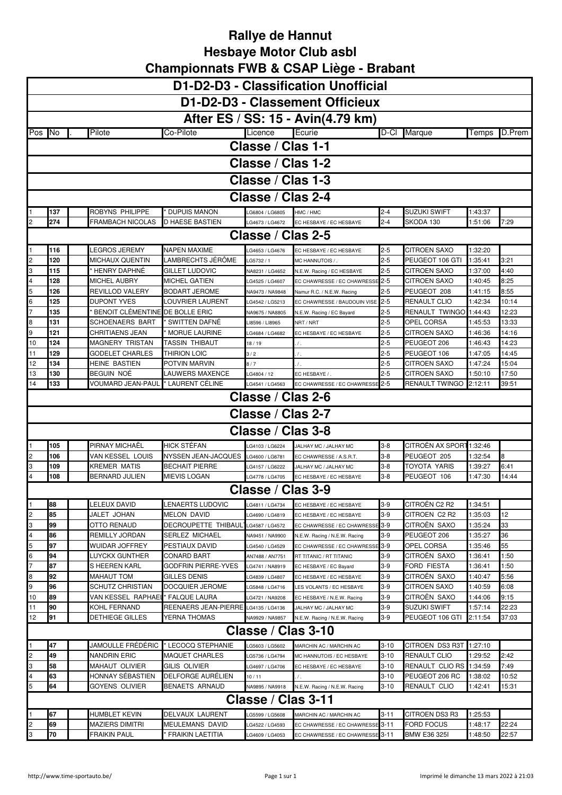|                         | D1-D2-D3 - Classification Unofficial |  |                                 |                                      |                    |                                   |          |                     |         |        |  |
|-------------------------|--------------------------------------|--|---------------------------------|--------------------------------------|--------------------|-----------------------------------|----------|---------------------|---------|--------|--|
|                         |                                      |  |                                 |                                      |                    | D1-D2-D3 - Classement Officieux   |          |                     |         |        |  |
|                         |                                      |  |                                 |                                      |                    | After ES / SS: 15 - Avin(4.79 km) |          |                     |         |        |  |
| Pos No                  |                                      |  | Pilote                          | Co-Pilote                            | Licence            | Ecurie                            | D-CI     | Marque              | Temps   | D.Prem |  |
|                         |                                      |  |                                 |                                      | Classe / Clas 1-1  |                                   |          |                     |         |        |  |
|                         |                                      |  |                                 |                                      | Classe / Clas 1-2  |                                   |          |                     |         |        |  |
|                         |                                      |  |                                 |                                      | Classe / Clas 1-3  |                                   |          |                     |         |        |  |
|                         |                                      |  |                                 |                                      | Classe / Clas 2-4  |                                   |          |                     |         |        |  |
|                         | 137                                  |  | ROBYNS PHILIPPE                 | <b>DUPUIS MANON</b>                  | G6804 / LG6805     | HMC / HMC                         | $2 - 4$  | <b>SUZUKI SWIFT</b> | 1:43:37 |        |  |
|                         | 274                                  |  | FRAMBACH NICOLAS                | D HAESE BASTIEN                      | G4673 / LG4672     | EC HESBAYE / EC HESBAYE           | $2 - 4$  | SKODA 130           | 1:51:06 | 7:29   |  |
|                         |                                      |  |                                 |                                      | Classe / Clas 2-5  |                                   |          |                     |         |        |  |
|                         | 116                                  |  | LEGROS JEREMY                   | <b>NAPEN MAXIME</b>                  | G4653 / LG4676     | EC HESBAYE / EC HESBAYE           | $2 - 5$  | <b>CITROEN SAXO</b> | 1:32:20 |        |  |
|                         | 120                                  |  | MICHAUX QUENTIN                 | LAMBRECHTS JÉRÔME                    | G5732/1            | MC HANNUTOIS / .                  | $2 - 5$  | PEUGEOT 106 GTI     | 1:35:41 | 3:21   |  |
| 3                       | 115                                  |  | ' HENRY DAPHNÉ                  | GILLET LUDOVIC                       | NA8231 / LG4652    | N.E.W. Racing / EC HESBAYE        | $2 - 5$  | <b>CITROEN SAXO</b> | 1:37:00 | 4:40   |  |
| 4                       | 128                                  |  | MICHEL AUBRY                    | MICHEL GATIEN                        | LG4525 / LG4607    | EC CHAWRESSE / EC CHAWRESSE       | $2 - 5$  | <b>CITROEN SAXO</b> | 1:40:45 | 8:25   |  |
| 5                       | 126                                  |  | REVILLOD VALERY                 | BODART JEROME                        | NA9473 / NA9848    | Namur R.C. / N.E.W. Racing        | 2-5      | PEUGEOT 208         | 1:41:15 | 8:55   |  |
| 6                       | 125                                  |  | DUPONT YVES                     | LOUVRIER LAURENT                     | G4542 / LG5213     | EC CHAWRESSE / BAUDOUIN VISE      | $2 - 5$  | RENAULT CLIO        | 1:42:34 | 10:14  |  |
|                         | 135                                  |  | BENOIT CLÉMENTINE DE BOLLE ERIC |                                      | VA9675 / NA8805    | N.E.W. Racing / EC Bayard         | $2 - 5$  | RENAULT TWINGO      | 1:44:43 | 12:23  |  |
| 8                       | 131                                  |  | <b>SCHOENAERS BART</b>          | ' SWITTEN DAFNÉ                      | LI8596 / LI8965    | NRT / NRT                         | $2 - 5$  | OPEL CORSA          | 1:45:53 | 13:33  |  |
| 9                       | 121                                  |  | CHRITIAENS JEAN                 | MORUE LAURINE                        | LG4684 / LG4682    | EC HESBAYE / EC HESBAYE           | $2 - 5$  | <b>CITROEN SAXO</b> | 1:46:36 | 14:16  |  |
| 10                      | 124                                  |  | MAGNERY TRISTAN                 | TASSIN THIBAUT                       | 18/19              | $\prime$ .                        | $2 - 5$  | PEUGEOT 206         | 1:46:43 | 14:23  |  |
| 11                      | 129                                  |  | <b>GODELET CHARLES</b>          | THIRION LOIC                         | 3/2                | $\mathcal I$ .                    | $2 - 5$  | PEUGEOT 106         | 1:47:05 | 14:45  |  |
| 12                      | 134                                  |  | HEINE BASTIEN                   | POTVIN MARVIN                        | 8/7                | $\mathcal{L}$ .                   | $2 - 5$  | <b>CITROEN SAXO</b> | 1:47:24 | 15:04  |  |
| 13                      | 130                                  |  | BEGUIN NOË                      | LAUWERS MAXENCE                      | LG4804 / 12        | EC HESBAYE /                      | $2 - 5$  | <b>CITROEN SAXO</b> | 1:50:10 | 17:50  |  |
| 14                      | 133                                  |  | VOUMARD JEAN-PAUL               | LAURENT CÉLINE                       | LG4541 / LG4563    | EC CHAWRESSE / EC CHAWRESSE 2-5   |          | RENAULT TWINGO      | 2:12:11 | 39:51  |  |
|                         |                                      |  |                                 |                                      | Classe / Clas 2-6  |                                   |          |                     |         |        |  |
|                         |                                      |  |                                 |                                      | Classe / Clas 2-7  |                                   |          |                     |         |        |  |
|                         |                                      |  |                                 |                                      | Classe / Clas 3-8  |                                   |          |                     |         |        |  |
|                         | 105                                  |  | PIRNAY MICHAËL                  | HICK STÉFAN                          | G4103 / LG6224     | JALHAY MC / JALHAY MC             | $3-8$    | CITROËN AX SPORT    | 1:32:46 |        |  |
|                         | 106                                  |  | VAN KESSEL LOUIS                | NYSSEN JEAN-JACQUES                  | LG4600 / LG6781    | EC CHAWRESSE / A.S.R.T.           | $3 - 8$  | PEUGEOT 205         | 1:32:54 | 8      |  |
|                         | 109                                  |  | KREMER MATIS                    | <b>BECHAIT PIERRE</b>                | LG4157 / LG6222    | JALHAY MC / JALHAY MC             | 3-8      | TOYOTA YARIS        | 1:39:27 | 6:41   |  |
|                         | 108                                  |  | <b>BERNARD JULIEN</b>           | MIEVIS LOGAN                         | LG4778 / LG4705    | EC HESBAYE / EC HESBAYE           | $3-8$    | PEUGEOT 106         | 1:47:30 | 14:44  |  |
|                         |                                      |  |                                 |                                      | Classe / Clas 3-9  |                                   |          |                     |         |        |  |
|                         |                                      |  |                                 |                                      |                    |                                   |          |                     |         |        |  |
|                         | 88                                   |  | ELEUX DAVID                     | ENAERTS LUDOVIC                      | G4811 / LG4734     | EC HESBAYE / EC HESBAYE           | $3-9$    | CITROËN C2 R2       | 1:34:51 |        |  |
| $\overline{c}$          | 85                                   |  | JALET JOHAN                     | MELON DAVID                          | G4690 / LG4819     | EC HESBAYE / EC HESBAYE           | $3-9$    | CITROEN C2 R2       | 1:35:03 | 12     |  |
| 3                       | 99                                   |  | OTTO RENAUD                     | DECROUPETTE THIBAUL                  | LG4587 / LG4572    | EC CHAWRESSE / EC CHAWRESSE       | $3-9$    | CITROËN SAXO        | 1:35:24 | 33     |  |
| $\overline{\mathbf{4}}$ | 86                                   |  | REMILLY JORDAN                  | SERLEZ MICHAEL                       | VA9451 / NA9900    | N.E.W. Racing / N.E.W. Racing     | 3-9      | PEUGEOT 206         | 1:35:27 | 36     |  |
| 5                       | 97                                   |  | WUIDAR JOFFREY                  | PESTIAUX DAVID                       | G4540 / LG4529     | EC CHAWRESSE / EC CHAWRESSE       | $3-9$    | OPEL CORSA          | 1:35:46 | 55     |  |
| 6                       | 94                                   |  | LUYCKX GUNTHER                  | CONARD BART                          | AN7488 / AN7751    | RT TITANIC / RT TITANIC           | $3-9$    | CITROEN SAXO        | 1:36:41 | 1:50   |  |
|                         | 87                                   |  | S HEEREN KARL                   | GODFRIN PIERRE-YVES                  | LG4741 / NA8919    | EC HESBAYE / EC Bayard            | 3-9      | FORD FIESTA         | 1:36:41 | 1:50   |  |
| 8                       | 92                                   |  | MAHAUT TOM                      | GILLES DENIS                         | G4839 / LG4807     | EC HESBAYE / EC HESBAYE           | 3-9      | CITROËN SAXO        | 1:40:47 | 5:56   |  |
| 9                       | 96                                   |  | SCHUTZ CHRISTIAN                | DOCQUIER JEROME                      | G5848 / LG4716     | ES VOLANTS / EC HESBAYE           | $3-9$    | <b>CITROEN SAXO</b> | 1:40:59 | 6:08   |  |
| 10                      | 89                                   |  | VAN KESSEL RAPHAEI              | ' FALQUE LAURA                       | LG4721 / NA9208    | EC HESBAYE / N.E.W. Racing        | $3-9$    | CITROËN SAXO        | 1:44:06 | 9:15   |  |
| 11                      | 90                                   |  | KOHL FERNAND                    | REENAERS JEAN-PIERRE LG4135 / LG4136 |                    | JALHAY MC / JALHAY MC             | $3-9$    | SUZUKI SWIFT        | 1:57:14 | 22:23  |  |
| 12                      | 91                                   |  | DETHIEGE GILLES                 | YERNA THOMAS                         | NA9929 / NA9857    | N.E.W. Racing / N.E.W. Racing     | 3-9      | PEUGEOT 106 GTI     | 2:11:54 | 37:03  |  |
|                         |                                      |  |                                 |                                      | Classe / Clas 3-10 |                                   |          |                     |         |        |  |
|                         | 47                                   |  | JAMOULLE FRÉDÉRIC               | LECOCQ STEPHANIE                     | G5603 / LG5602     | MARCHIN AC / MARCHIN AC           | $3 - 10$ | CITROEN DS3 R3T     | 1:27:10 |        |  |
| $\overline{c}$          | 49                                   |  | NANDRIN ERIC                    | MAQUET CHARLES                       | G5736 / LG4794     | MC HANNUTOIS / EC HESBAYE         | $3 - 10$ | RENAULT CLIO        | 1:29:52 | 2:42   |  |
| 3                       | 58                                   |  | MAHAUT OLIVIER                  | GILIS OLIVIER                        | G4697 / LG4706     | EC HESBAYE / EC HESBAYE           | $3 - 10$ | RENAULT CLIO RS     | 1:34:59 | 7:49   |  |
| 4                       | 63                                   |  | HONNAY SÉBASTIEN                | DELFORGE AURÉLIEN                    | 10/11              | $\prime$ .                        | $3-10$   | PEUGEOT 206 RC      | 1:38:02 | 10:52  |  |
| 5                       | 64                                   |  | GOYENS OLIVIER                  | BENAETS ARNAUD                       | NA9895 / NA9918    | N.E.W. Racing / N.E.W. Racing     | $3-10$   | RENAULT CLIO        | 1:42:41 | 15:31  |  |
|                         |                                      |  |                                 |                                      | Classe / Clas 3-11 |                                   |          |                     |         |        |  |
|                         | 67                                   |  | HUMBLET KEVIN                   | DELVAUX LAURENT                      | G5599 / LG5608     | MARCHIN AC / MARCHIN AC           | $3 - 11$ | CITROEN DS3 R3      | 1:25:53 |        |  |
| $\overline{c}$          | 69                                   |  | MAZIERS DIMITRI                 | MEULEMANS DAVID                      | G4522 / LG4593     | EC CHAWRESSE / EC CHAWRESSE       | $3 - 11$ | FORD FOCUS          | 1:48:17 | 22:24  |  |
| 3                       | 70                                   |  | FRAIKIN PAUL                    | <b>FRAIKIN LAETITIA</b>              | LG4609 / LG4053    | EC CHAWRESSE / EC CHAWRESSE       | 3-11     | <b>BMW E36 325I</b> | 1:48:50 | 22:57  |  |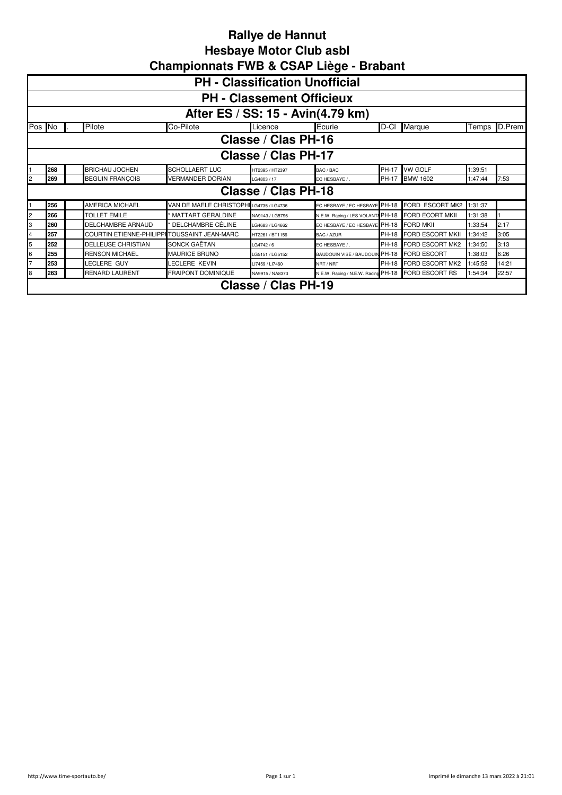|    | <b>PH</b> - Classification Unofficial                                                                                                                  |  |                                              |                                        |                     |                                         |       |                         |         |        |  |  |  |
|----|--------------------------------------------------------------------------------------------------------------------------------------------------------|--|----------------------------------------------|----------------------------------------|---------------------|-----------------------------------------|-------|-------------------------|---------|--------|--|--|--|
|    | <b>PH - Classement Officieux</b>                                                                                                                       |  |                                              |                                        |                     |                                         |       |                         |         |        |  |  |  |
|    | After ES / SS: 15 - Avin(4.79 km)                                                                                                                      |  |                                              |                                        |                     |                                         |       |                         |         |        |  |  |  |
|    | Pos <b>N</b> o                                                                                                                                         |  | Pilote                                       | Co-Pilote                              | Licence             | Ecurie                                  | D-Cl  | Marque                  | Temps   | D.Prem |  |  |  |
|    | Classe / Clas PH-16                                                                                                                                    |  |                                              |                                        |                     |                                         |       |                         |         |        |  |  |  |
|    | Classe / Clas PH-17                                                                                                                                    |  |                                              |                                        |                     |                                         |       |                         |         |        |  |  |  |
|    | 268<br><b>VW GOLF</b><br><b>BRICHAU JOCHEN</b><br><b>SCHOLLAERT LUC</b><br>PH-17<br>1:39:51<br>HT2395 / HT2397<br>BAC / BAC                            |  |                                              |                                        |                     |                                         |       |                         |         |        |  |  |  |
|    | 269<br><b>BEGUIN FRANÇOIS</b><br><b>VERMANDER DORIAN</b><br><b>BMW 1602</b><br>7:53<br>PH-17<br>1:47:44<br>LG4803 / 17<br>EC HESBAYE / .               |  |                                              |                                        |                     |                                         |       |                         |         |        |  |  |  |
|    |                                                                                                                                                        |  |                                              |                                        | Classe / Clas PH-18 |                                         |       |                         |         |        |  |  |  |
|    | 256                                                                                                                                                    |  | AMERICA MICHAEL                              | VAN DE MAELE CHRISTOPHILG4735 / LG4736 |                     | EC HESBAYE / EC HESBAYE PH-18           |       | FORD ESCORT MK2         | 1:31:37 |        |  |  |  |
| 2  | 266                                                                                                                                                    |  | <b>TOLLET EMILE</b>                          | MATTART GERALDINE                      | NA9143 / LG5796     | N.E.W. Racing / LES VOLANTS PH-18       |       | <b>FORD ECORT MKII</b>  | 1:31:38 |        |  |  |  |
| 3  | 260                                                                                                                                                    |  | <b>DELCHAMBRE ARNAUD</b>                     | DELCHAMBRE CÉLINE                      | LG4683 / LG4662     | EC HESBAYE / EC HESBAYE PH-18 FORD MKII |       |                         | 1:33:54 | 2:17   |  |  |  |
| 4  | 257                                                                                                                                                    |  | COURTIN ETIENNE-PHILIPPI TOUSSAINT JEAN-MARC |                                        | HT2261 / BT1156     | BAC / AZUR                              | PH-18 | <b>FORD ESCORT MKII</b> | 1:34:42 | 3:05   |  |  |  |
| 5  | 252                                                                                                                                                    |  | <b>DELLEUSE CHRISTIAN</b>                    | SONCK GAËTAN                           | LG4742 / 6          | FC HESBAYE /                            | PH-18 | FORD ESCORT MK2         | 1:34:50 | 3:13   |  |  |  |
| ŝ. | 255                                                                                                                                                    |  | <b>RENSON MICHAEL</b>                        | <b>MAURICE BRUNO</b>                   | LG5151 / LG5152     | BAUDOUIN VISE / BAUDOUIN PH-18          |       | <b>FORD ESCORT</b>      | 1:38:03 | 6:26   |  |  |  |
|    | 253                                                                                                                                                    |  | LECLERE GUY                                  | <b>ECLERE KEVIN</b>                    | LI7459 / LI7460     | NRT / NRT                               |       | PH-18 FORD ESCORT MK2   | 1:45:58 | 14:21  |  |  |  |
| 8  | 263<br><b>RENARD LAURENT</b><br><b>FRAIPONT DOMINIQUE</b><br>N.E.W. Racing / N.E.W. Racing PH-18 FORD ESCORT RS<br>1:54:34<br>22:57<br>NA9915 / NA8373 |  |                                              |                                        |                     |                                         |       |                         |         |        |  |  |  |
|    |                                                                                                                                                        |  |                                              |                                        | Classe / Clas PH-19 |                                         |       |                         |         |        |  |  |  |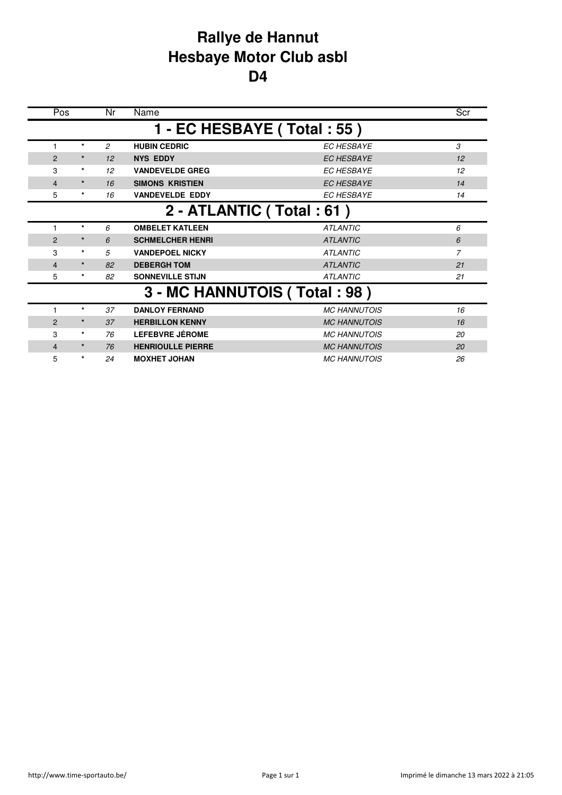## **Rallye de Hannut Hesbaye Motor Club asbl D4**

| Pos            |         | Nr         | Name                         |                     | Scr           |
|----------------|---------|------------|------------------------------|---------------------|---------------|
|                |         |            | 1 - EC HESBAYE (Total: 55)   |                     |               |
|                | $\star$ | 2          | <b>HUBIN CEDRIC</b>          | <b>EC HESBAYE</b>   | $\mathcal{S}$ |
| $\overline{2}$ | $\star$ | 12         | <b>NYS EDDY</b>              | <b>EC HESBAYE</b>   | 12            |
| 3              | $\star$ | 12         | <b>VANDEVELDE GREG</b>       | <b>EC HESBAYE</b>   | 12            |
| 4              | $\star$ | 16         | <b>SIMONS KRISTIEN</b>       | <b>EC HESBAYE</b>   | 14            |
| 5              | $\star$ | 16         | <b>VANDEVELDE EDDY</b>       | <b>EC HESBAYE</b>   | 14            |
|                |         |            | 2 - ATLANTIC (Total: 61)     |                     |               |
|                | $\star$ | 6          | <b>OMBELET KATLEEN</b>       | <b>ATLANTIC</b>     | 6             |
| $\overline{2}$ | $\star$ | $\epsilon$ | <b>SCHMELCHER HENRI</b>      | <b>ATLANTIC</b>     | 6             |
| 3              | $\star$ | 5          | <b>VANDEPOEL NICKY</b>       | <b>ATLANTIC</b>     | 7             |
| 4              | $\star$ | 82         | <b>DEBERGH TOM</b>           | <b>ATLANTIC</b>     | 21            |
| 5              | $\star$ | 82         | <b>SONNEVILLE STIJN</b>      | <b>ATLANTIC</b>     | 21            |
|                |         |            | 3 - MC HANNUTOIS (Total: 98) |                     |               |
|                | $\star$ | 37         | <b>DANLOY FERNAND</b>        | <b>MC HANNUTOIS</b> | 16            |
| $\overline{2}$ | $\star$ | 37         | <b>HERBILLON KENNY</b>       | <b>MC HANNUTOIS</b> | 16            |
| 3              | $\star$ | 76         | <b>LEFEBVRE JÉROME</b>       | <b>MC HANNUTOIS</b> | 20            |
| 4              | $\star$ | 76         | <b>HENRIOULLE PIERRE</b>     | <b>MC HANNUTOIS</b> | 20            |
| 5              | $\star$ | 24         | <b>MOXHET JOHAN</b>          | <b>MC HANNUTOIS</b> | 26            |